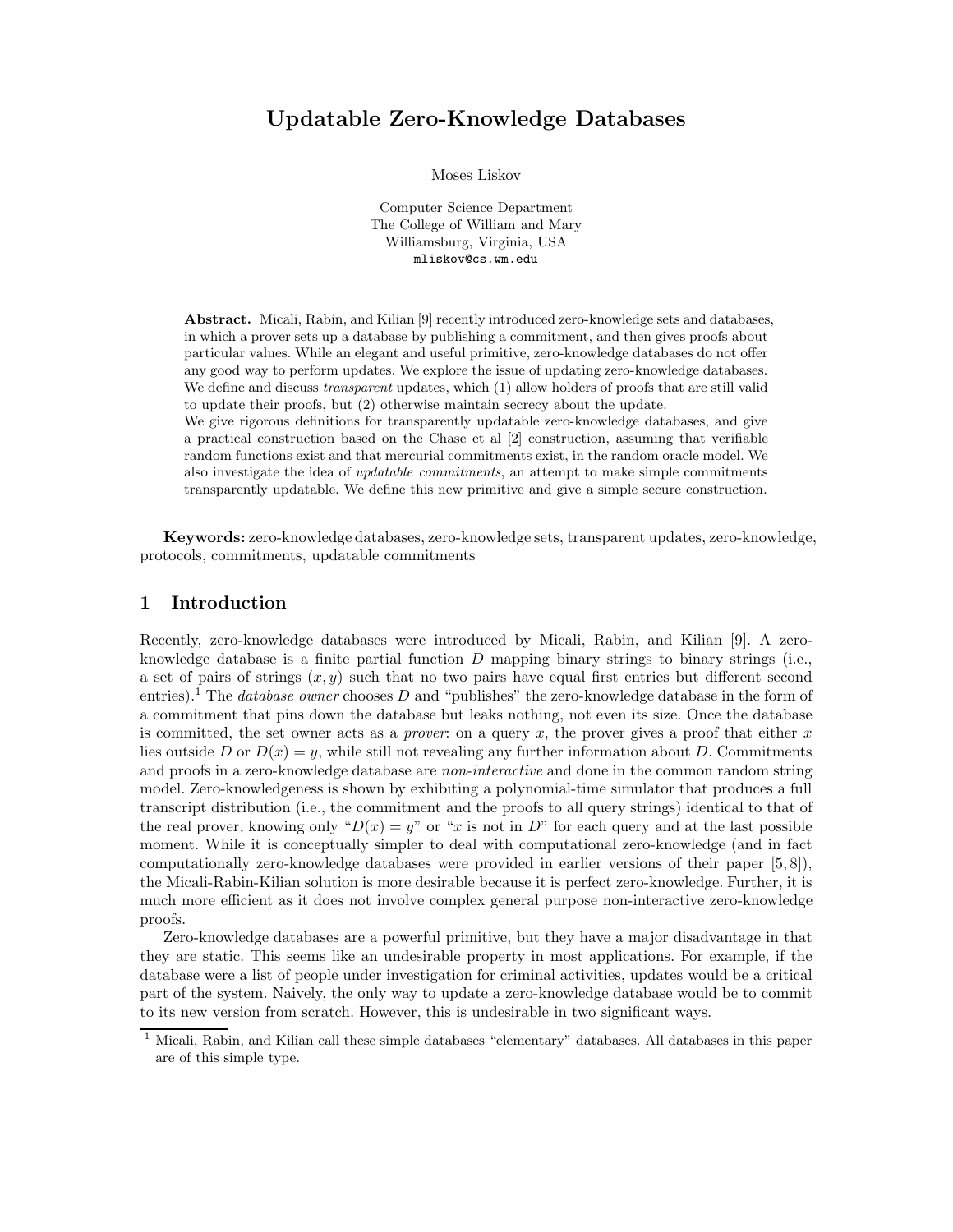# **Updatable Zero-Knowledge Databases**

Moses Liskov

Computer Science Department The College of William and Mary Williamsburg, Virginia, USA mliskov@cs.wm.edu

**Abstract.** Micali, Rabin, and Kilian [9] recently introduced zero-knowledge sets and databases, in which a prover sets up a database by publishing a commitment, and then gives proofs about particular values. While an elegant and useful primitive, zero-knowledge databases do not offer any good way to perform updates. We explore the issue of updating zero-knowledge databases. We define and discuss *transparent* updates, which (1) allow holders of proofs that are still valid to update their proofs, but (2) otherwise maintain secrecy about the update.

We give rigorous definitions for transparently updatable zero-knowledge databases, and give a practical construction based on the Chase et al [2] construction, assuming that verifiable random functions exist and that mercurial commitments exist, in the random oracle model. We also investigate the idea of *updatable commitments*, an attempt to make simple commitments transparently updatable. We define this new primitive and give a simple secure construction.

**Keywords:** zero-knowledge databases, zero-knowledge sets, transparent updates, zero-knowledge, protocols, commitments, updatable commitments

## **1 Introduction**

Recently, zero-knowledge databases were introduced by Micali, Rabin, and Kilian [9]. A zeroknowledge database is a finite partial function  $D$  mapping binary strings to binary strings (i.e., a set of pairs of strings  $(x, y)$  such that no two pairs have equal first entries but different second entries).<sup>1</sup> The *database owner* chooses D and "publishes" the zero-knowledge database in the form of a commitment that pins down the database but leaks nothing, not even its size. Once the database is committed, the set owner acts as a *prover*: on a query  $x$ , the prover gives a proof that either  $x$ lies outside D or  $D(x) = y$ , while still not revealing any further information about D. Commitments and proofs in a zero-knowledge database are *non-interactive* and done in the common random string model. Zero-knowledgeness is shown by exhibiting a polynomial-time simulator that produces a full transcript distribution (i.e., the commitment and the proofs to all query strings) identical to that of the real prover, knowing only " $D(x) = y$ " or "x is not in D" for each query and at the last possible moment. While it is conceptually simpler to deal with computational zero-knowledge (and in fact computationally zero-knowledge databases were provided in earlier versions of their paper [5, 8]), the Micali-Rabin-Kilian solution is more desirable because it is perfect zero-knowledge. Further, it is much more efficient as it does not involve complex general purpose non-interactive zero-knowledge proofs.

Zero-knowledge databases are a powerful primitive, but they have a major disadvantage in that they are static. This seems like an undesirable property in most applications. For example, if the database were a list of people under investigation for criminal activities, updates would be a critical part of the system. Naively, the only way to update a zero-knowledge database would be to commit to its new version from scratch. However, this is undesirable in two significant ways.

<sup>&</sup>lt;sup>1</sup> Micali, Rabin, and Kilian call these simple databases "elementary" databases. All databases in this paper are of this simple type.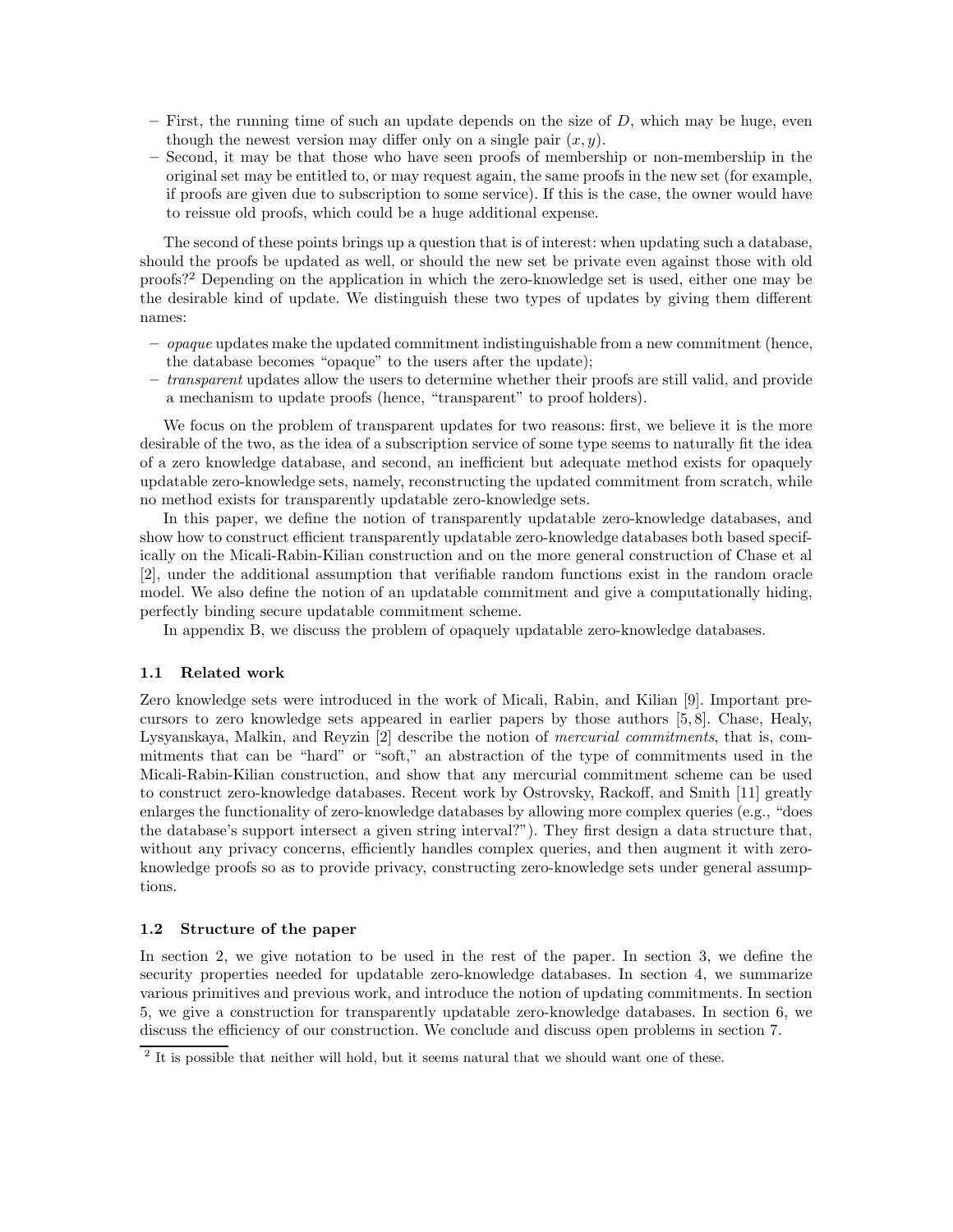- **–** First, the running time of such an update depends on the size of D, which may be huge, even though the newest version may differ only on a single pair  $(x, y)$ .
- **–** Second, it may be that those who have seen proofs of membership or non-membership in the original set may be entitled to, or may request again, the same proofs in the new set (for example, if proofs are given due to subscription to some service). If this is the case, the owner would have to reissue old proofs, which could be a huge additional expense.

The second of these points brings up a question that is of interest: when updating such a database, should the proofs be updated as well, or should the new set be private even against those with old proofs?<sup>2</sup> Depending on the application in which the zero-knowledge set is used, either one may be the desirable kind of update. We distinguish these two types of updates by giving them different names:

- **–** *opaque* updates make the updated commitment indistinguishable from a new commitment (hence, the database becomes "opaque" to the users after the update);
- **–** *transparent* updates allow the users to determine whether their proofs are still valid, and provide a mechanism to update proofs (hence, "transparent" to proof holders).

We focus on the problem of transparent updates for two reasons: first, we believe it is the more desirable of the two, as the idea of a subscription service of some type seems to naturally fit the idea of a zero knowledge database, and second, an inefficient but adequate method exists for opaquely updatable zero-knowledge sets, namely, reconstructing the updated commitment from scratch, while no method exists for transparently updatable zero-knowledge sets.

In this paper, we define the notion of transparently updatable zero-knowledge databases, and show how to construct efficient transparently updatable zero-knowledge databases both based specifically on the Micali-Rabin-Kilian construction and on the more general construction of Chase et al [2], under the additional assumption that verifiable random functions exist in the random oracle model. We also define the notion of an updatable commitment and give a computationally hiding, perfectly binding secure updatable commitment scheme.

In appendix B, we discuss the problem of opaquely updatable zero-knowledge databases.

## **1.1 Related work**

Zero knowledge sets were introduced in the work of Micali, Rabin, and Kilian [9]. Important precursors to zero knowledge sets appeared in earlier papers by those authors [5, 8]. Chase, Healy, Lysyanskaya, Malkin, and Reyzin [2] describe the notion of *mercurial commitments*, that is, commitments that can be "hard" or "soft," an abstraction of the type of commitments used in the Micali-Rabin-Kilian construction, and show that any mercurial commitment scheme can be used to construct zero-knowledge databases. Recent work by Ostrovsky, Rackoff, and Smith [11] greatly enlarges the functionality of zero-knowledge databases by allowing more complex queries (e.g., "does the database's support intersect a given string interval?"). They first design a data structure that, without any privacy concerns, efficiently handles complex queries, and then augment it with zeroknowledge proofs so as to provide privacy, constructing zero-knowledge sets under general assumptions.

### **1.2 Structure of the paper**

In section 2, we give notation to be used in the rest of the paper. In section 3, we define the security properties needed for updatable zero-knowledge databases. In section 4, we summarize various primitives and previous work, and introduce the notion of updating commitments. In section 5, we give a construction for transparently updatable zero-knowledge databases. In section 6, we discuss the efficiency of our construction. We conclude and discuss open problems in section 7.

<sup>&</sup>lt;sup>2</sup> It is possible that neither will hold, but it seems natural that we should want one of these.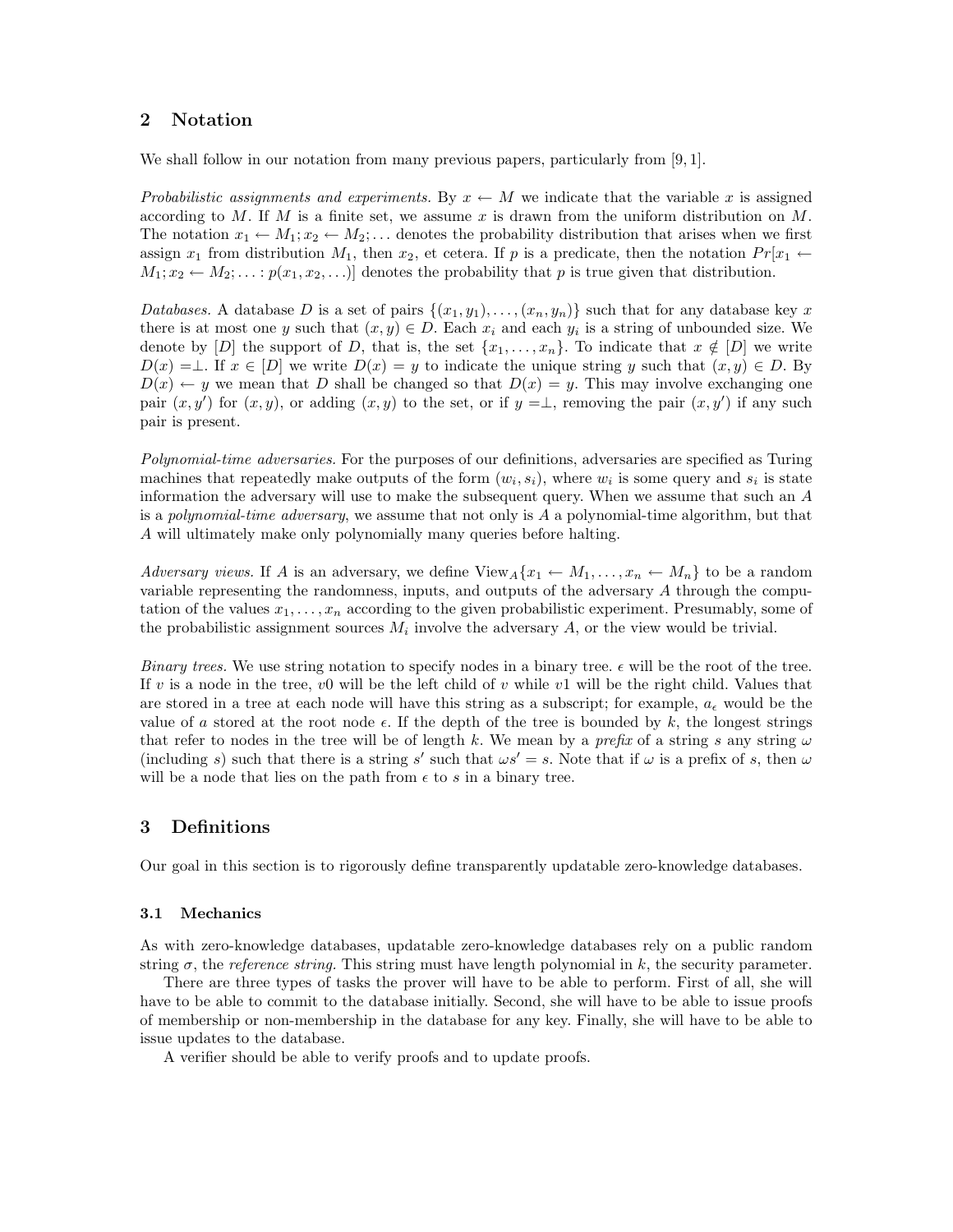## **2 Notation**

We shall follow in our notation from many previous papers, particularly from [9, 1].

*Probabilistic assignments and experiments.* By  $x \leftarrow M$  we indicate that the variable x is assigned according to M. If M is a finite set, we assume x is drawn from the uniform distribution on  $M$ . The notation  $x_1 \leftarrow M_1; x_2 \leftarrow M_2; \dots$  denotes the probability distribution that arises when we first assign  $x_1$  from distribution  $M_1$ , then  $x_2$ , et cetera. If p is a predicate, then the notation  $Pr[x_1 \leftarrow$  $M_1; x_2 \leftarrow M_2; \dots; p(x_1, x_2, \dots)$  denotes the probability that p is true given that distribution.

*Databases.* A database D is a set of pairs  $\{(x_1, y_1), \ldots, (x_n, y_n)\}\$  such that for any database key x there is at most one y such that  $(x, y) \in D$ . Each  $x_i$  and each  $y_i$  is a string of unbounded size. We denote by [D] the support of D, that is, the set  $\{x_1,\ldots,x_n\}$ . To indicate that  $x \notin [D]$  we write  $D(x) = \perp$ . If  $x \in [D]$  we write  $D(x) = y$  to indicate the unique string y such that  $(x, y) \in D$ . By  $D(x) \leftarrow y$  we mean that D shall be changed so that  $D(x) = y$ . This may involve exchanging one pair  $(x, y')$  for  $(x, y)$ , or adding  $(x, y)$  to the set, or if  $y = \perp$ , removing the pair  $(x, y')$  if any such pair is present.

*Polynomial-time adversaries.* For the purposes of our definitions, adversaries are specified as Turing machines that repeatedly make outputs of the form  $(w_i, s_i)$ , where  $w_i$  is some query and  $s_i$  is state information the adversary will use to make the subsequent query. When we assume that such an  $A$ is a *polynomial-time adversary*, we assume that not only is A a polynomial-time algorithm, but that A will ultimately make only polynomially many queries before halting.

*Adversary views.* If A is an adversary, we define View<sub>A</sub> $\{x_1 \leftarrow M_1, \ldots, x_n \leftarrow M_n\}$  to be a random variable representing the randomness, inputs, and outputs of the adversary A through the computation of the values  $x_1, \ldots, x_n$  according to the given probabilistic experiment. Presumably, some of the probabilistic assignment sources  $M_i$  involve the adversary  $A$ , or the view would be trivial.

*Binary trees.* We use string notation to specify nodes in a binary tree.  $\epsilon$  will be the root of the tree. If v is a node in the tree, v0 will be the left child of v while v1 will be the right child. Values that are stored in a tree at each node will have this string as a subscript; for example,  $a_{\epsilon}$  would be the value of a stored at the root node  $\epsilon$ . If the depth of the tree is bounded by k, the longest strings that refer to nodes in the tree will be of length k. We mean by a *prefix* of a string s any string  $\omega$ (including s) such that there is a string s' such that  $\omega s' = s$ . Note that if  $\omega$  is a prefix of s, then  $\omega$ will be a node that lies on the path from  $\epsilon$  to s in a binary tree.

## **3 Definitions**

Our goal in this section is to rigorously define transparently updatable zero-knowledge databases.

### **3.1 Mechanics**

As with zero-knowledge databases, updatable zero-knowledge databases rely on a public random string  $\sigma$ , the *reference string*. This string must have length polynomial in k, the security parameter.

There are three types of tasks the prover will have to be able to perform. First of all, she will have to be able to commit to the database initially. Second, she will have to be able to issue proofs of membership or non-membership in the database for any key. Finally, she will have to be able to issue updates to the database.

A verifier should be able to verify proofs and to update proofs.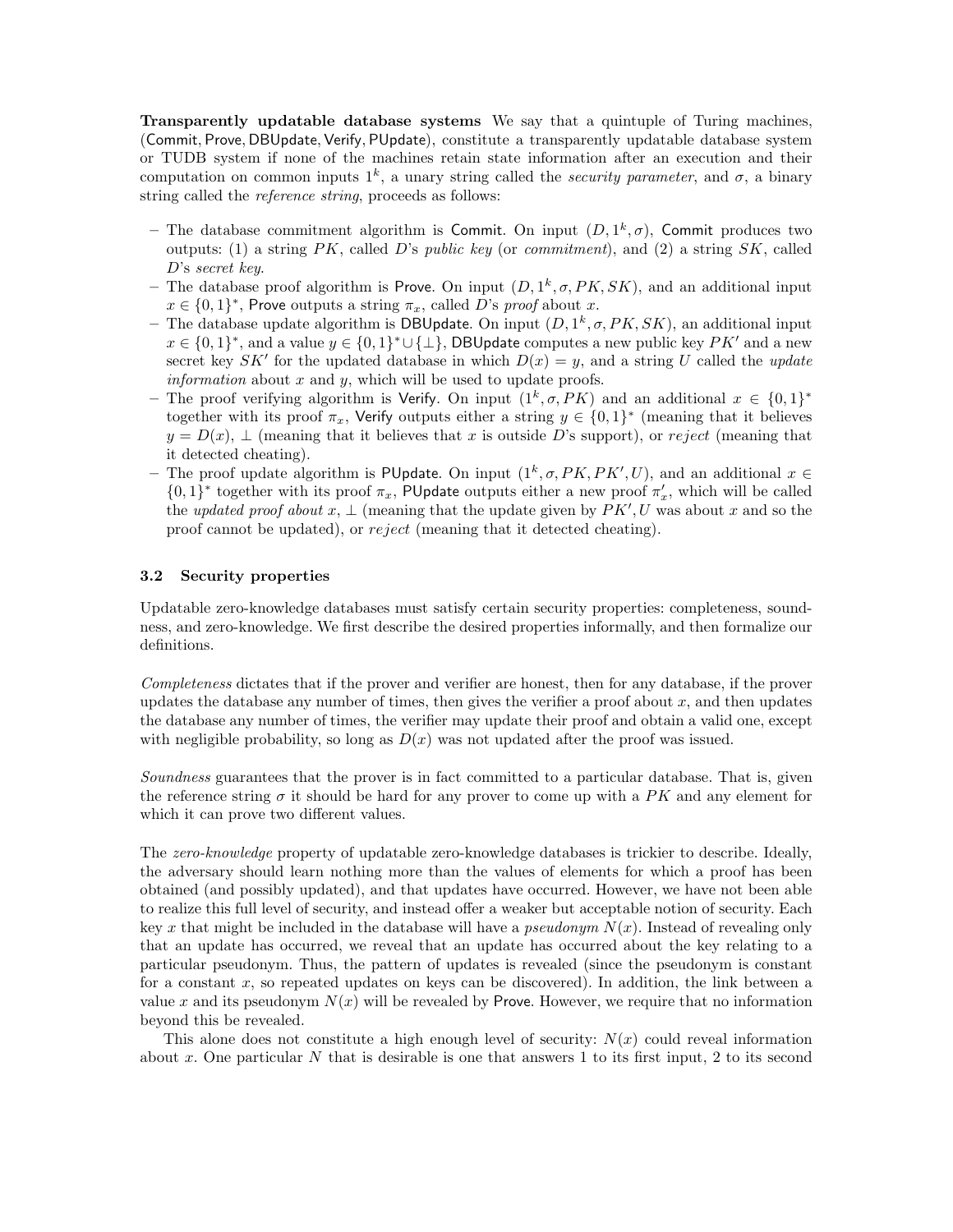**Transparently updatable database systems** We say that a quintuple of Turing machines, (Commit, Prove, DBUpdate, Verify, PUpdate), constitute a transparently updatable database system or TUDB system if none of the machines retain state information after an execution and their computation on common inputs  $1^k$ , a unary string called the *security parameter*, and  $\sigma$ , a binary string called the *reference string*, proceeds as follows:

- The database commitment algorithm is Commit. On input  $(D, 1^k, \sigma)$ , Commit produces two outputs: (1) a string PK, called D's *public key* (or *commitment*), and (2) a string SK, called D's *secret key*.
- $-$  The database proof algorithm is Prove. On input  $(D, 1<sup>k</sup>, \sigma, PK, SK)$ , and an additional input  $x \in \{0,1\}^*$ , Prove outputs a string  $\pi_x$ , called D's *proof* about x.
- $-$  The database update algorithm is DBUpdate. On input  $(D, 1^k, \sigma, PK, SK)$ , an additional input  $x \in \{0,1\}^*$ , and a value  $y \in \{0,1\}^* \cup \{\perp\}$ , DBUpdate computes a new public key  $PK'$  and a new secret key  $SK'$  for the updated database in which  $D(x) = y$ , and a string U called the *update information* about x and y, which will be used to update proofs.
- The proof verifying algorithm is Verify. On input  $(1<sup>k</sup>, σ, PK)$  and an additional  $x \in \{0, 1\}^*$ together with its proof  $\pi_x$ , Verify outputs either a string  $y \in \{0,1\}^*$  (meaning that it believes  $y = D(x)$ ,  $\perp$  (meaning that it believes that x is outside D's support), or reject (meaning that it detected cheating).
- $-$  The proof update algorithm is PUpdate. On input  $(1<sup>k</sup>, σ, PK, PK', U)$ , and an additional  $x ∈$  ${0,1}^*$  together with its proof  $\pi_x$ , PUpdate outputs either a new proof  $\pi'_x$ , which will be called the *updated proof about*  $x$ ,  $\perp$  (meaning that the update given by  $PK'$ , U was about x and so the proof cannot be updated), or reject (meaning that it detected cheating).

## **3.2 Security properties**

Updatable zero-knowledge databases must satisfy certain security properties: completeness, soundness, and zero-knowledge. We first describe the desired properties informally, and then formalize our definitions.

*Completeness* dictates that if the prover and verifier are honest, then for any database, if the prover updates the database any number of times, then gives the verifier a proof about  $x$ , and then updates the database any number of times, the verifier may update their proof and obtain a valid one, except with negligible probability, so long as  $D(x)$  was not updated after the proof was issued.

*Soundness* guarantees that the prover is in fact committed to a particular database. That is, given the reference string  $\sigma$  it should be hard for any prover to come up with a PK and any element for which it can prove two different values.

The *zero-knowledge* property of updatable zero-knowledge databases is trickier to describe. Ideally, the adversary should learn nothing more than the values of elements for which a proof has been obtained (and possibly updated), and that updates have occurred. However, we have not been able to realize this full level of security, and instead offer a weaker but acceptable notion of security. Each key x that might be included in the database will have a *pseudonym*  $N(x)$ . Instead of revealing only that an update has occurred, we reveal that an update has occurred about the key relating to a particular pseudonym. Thus, the pattern of updates is revealed (since the pseudonym is constant for a constant  $x$ , so repeated updates on keys can be discovered). In addition, the link between a value x and its pseudonym  $N(x)$  will be revealed by Prove. However, we require that no information beyond this be revealed.

This alone does not constitute a high enough level of security:  $N(x)$  could reveal information about x. One particular N that is desirable is one that answers 1 to its first input, 2 to its second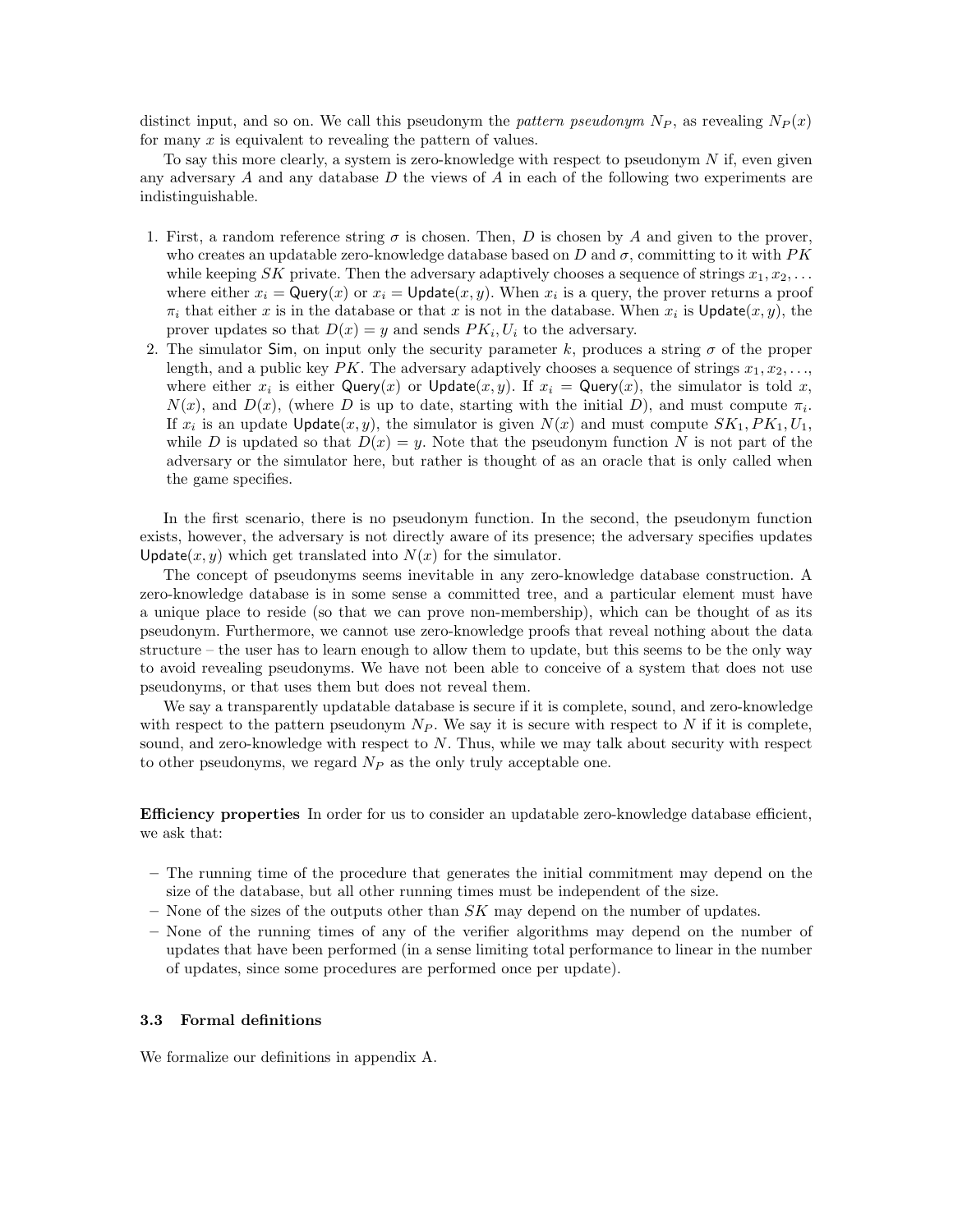distinct input, and so on. We call this pseudonym the *pattern pseudonym*  $N_P$ , as revealing  $N_P(x)$ for many  $x$  is equivalent to revealing the pattern of values.

To say this more clearly, a system is zero-knowledge with respect to pseudonym  $N$  if, even given any adversary  $A$  and any database  $D$  the views of  $A$  in each of the following two experiments are indistinguishable.

- 1. First, a random reference string  $\sigma$  is chosen. Then, D is chosen by A and given to the prover, who creates an updatable zero-knowledge database based on D and  $\sigma$ , committing to it with PK while keeping SK private. Then the adversary adaptively chooses a sequence of strings  $x_1, x_2, \ldots$ where either  $x_i = \text{Query}(x)$  or  $x_i = \text{Update}(x, y)$ . When  $x_i$  is a query, the prover returns a proof  $\pi_i$  that either x is in the database or that x is not in the database. When  $x_i$  is Update $(x, y)$ , the prover updates so that  $D(x) = y$  and sends  $PK_i, U_i$  to the adversary.
- 2. The simulator Sim, on input only the security parameter k, produces a string  $\sigma$  of the proper length, and a public key  $PK$ . The adversary adaptively chooses a sequence of strings  $x_1, x_2, \ldots$ , where either  $x_i$  is either Query(x) or Update(x, y). If  $x_i = \text{Query}(x)$ , the simulator is told x,  $N(x)$ , and  $D(x)$ , (where D is up to date, starting with the initial D), and must compute  $\pi_i$ . If  $x_i$  is an update Update $(x, y)$ , the simulator is given  $N(x)$  and must compute  $SK_1, PK_1, U_1$ , while D is updated so that  $D(x) = y$ . Note that the pseudonym function N is not part of the adversary or the simulator here, but rather is thought of as an oracle that is only called when the game specifies.

In the first scenario, there is no pseudonym function. In the second, the pseudonym function exists, however, the adversary is not directly aware of its presence; the adversary specifies updates Update(x, y) which get translated into  $N(x)$  for the simulator.

The concept of pseudonyms seems inevitable in any zero-knowledge database construction. A zero-knowledge database is in some sense a committed tree, and a particular element must have a unique place to reside (so that we can prove non-membership), which can be thought of as its pseudonym. Furthermore, we cannot use zero-knowledge proofs that reveal nothing about the data structure – the user has to learn enough to allow them to update, but this seems to be the only way to avoid revealing pseudonyms. We have not been able to conceive of a system that does not use pseudonyms, or that uses them but does not reveal them.

We say a transparently updatable database is secure if it is complete, sound, and zero-knowledge with respect to the pattern pseudonym  $N_P$ . We say it is secure with respect to N if it is complete, sound, and zero-knowledge with respect to  $N$ . Thus, while we may talk about security with respect to other pseudonyms, we regard  $N_P$  as the only truly acceptable one.

**Efficiency properties** In order for us to consider an updatable zero-knowledge database efficient, we ask that:

- **–** The running time of the procedure that generates the initial commitment may depend on the size of the database, but all other running times must be independent of the size.
- **–** None of the sizes of the outputs other than SK may depend on the number of updates.
- **–** None of the running times of any of the verifier algorithms may depend on the number of updates that have been performed (in a sense limiting total performance to linear in the number of updates, since some procedures are performed once per update).

## **3.3 Formal definitions**

We formalize our definitions in appendix A.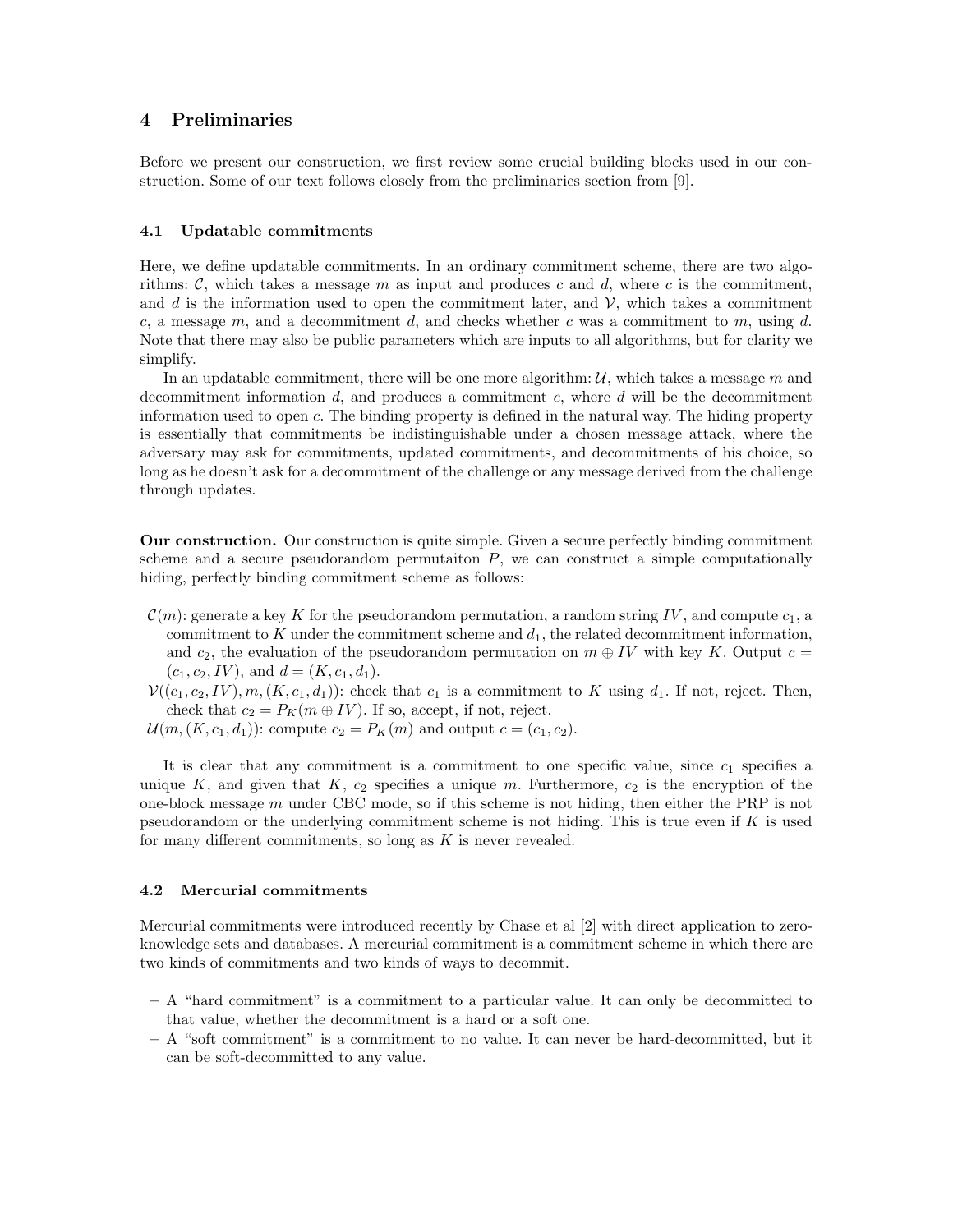## **4 Preliminaries**

Before we present our construction, we first review some crucial building blocks used in our construction. Some of our text follows closely from the preliminaries section from [9].

### **4.1 Updatable commitments**

Here, we define updatable commitments. In an ordinary commitment scheme, there are two algorithms:  $C$ , which takes a message m as input and produces c and d, where c is the commitment, and d is the information used to open the commitment later, and  $\mathcal V$ , which takes a commitment c, a message m, and a decommitment d, and checks whether c was a commitment to m, using d. Note that there may also be public parameters which are inputs to all algorithms, but for clarity we simplify.

In an updatable commitment, there will be one more algorithm:  $U$ , which takes a message m and decommitment information  $d$ , and produces a commitment c, where  $d$  will be the decommitment information used to open c. The binding property is defined in the natural way. The hiding property is essentially that commitments be indistinguishable under a chosen message attack, where the adversary may ask for commitments, updated commitments, and decommitments of his choice, so long as he doesn't ask for a decommitment of the challenge or any message derived from the challenge through updates.

**Our construction.** Our construction is quite simple. Given a secure perfectly binding commitment scheme and a secure pseudorandom permutation  $P$ , we can construct a simple computationally hiding, perfectly binding commitment scheme as follows:

- $\mathcal{C}(m)$ : generate a key K for the pseudorandom permutation, a random string IV, and compute  $c_1$ , a commitment to K under the commitment scheme and  $d_1$ , the related decommitment information, and  $c_2$ , the evaluation of the pseudorandom permutation on  $m \oplus IV$  with key K. Output  $c =$  $(c_1, c_2, IV)$ , and  $d = (K, c_1, d_1)$ .
- $\mathcal{V}((c_1, c_2, IV), m, (K, c_1, d_1))$ : check that  $c_1$  is a commitment to K using  $d_1$ . If not, reject. Then, check that  $c_2 = P_K(m \oplus IV)$ . If so, accept, if not, reject.

 $\mathcal{U}(m,(K,c_1,d_1))$ : compute  $c_2 = P_K(m)$  and output  $c = (c_1, c_2)$ .

It is clear that any commitment is a commitment to one specific value, since  $c_1$  specifies a unique K, and given that  $K$ ,  $c_2$  specifies a unique m. Furthermore,  $c_2$  is the encryption of the one-block message  $m$  under CBC mode, so if this scheme is not hiding, then either the PRP is not pseudorandom or the underlying commitment scheme is not hiding. This is true even if  $K$  is used for many different commitments, so long as  $K$  is never revealed.

### **4.2 Mercurial commitments**

Mercurial commitments were introduced recently by Chase et al [2] with direct application to zeroknowledge sets and databases. A mercurial commitment is a commitment scheme in which there are two kinds of commitments and two kinds of ways to decommit.

- **–** A "hard commitment" is a commitment to a particular value. It can only be decommitted to that value, whether the decommitment is a hard or a soft one.
- **–** A "soft commitment" is a commitment to no value. It can never be hard-decommitted, but it can be soft-decommitted to any value.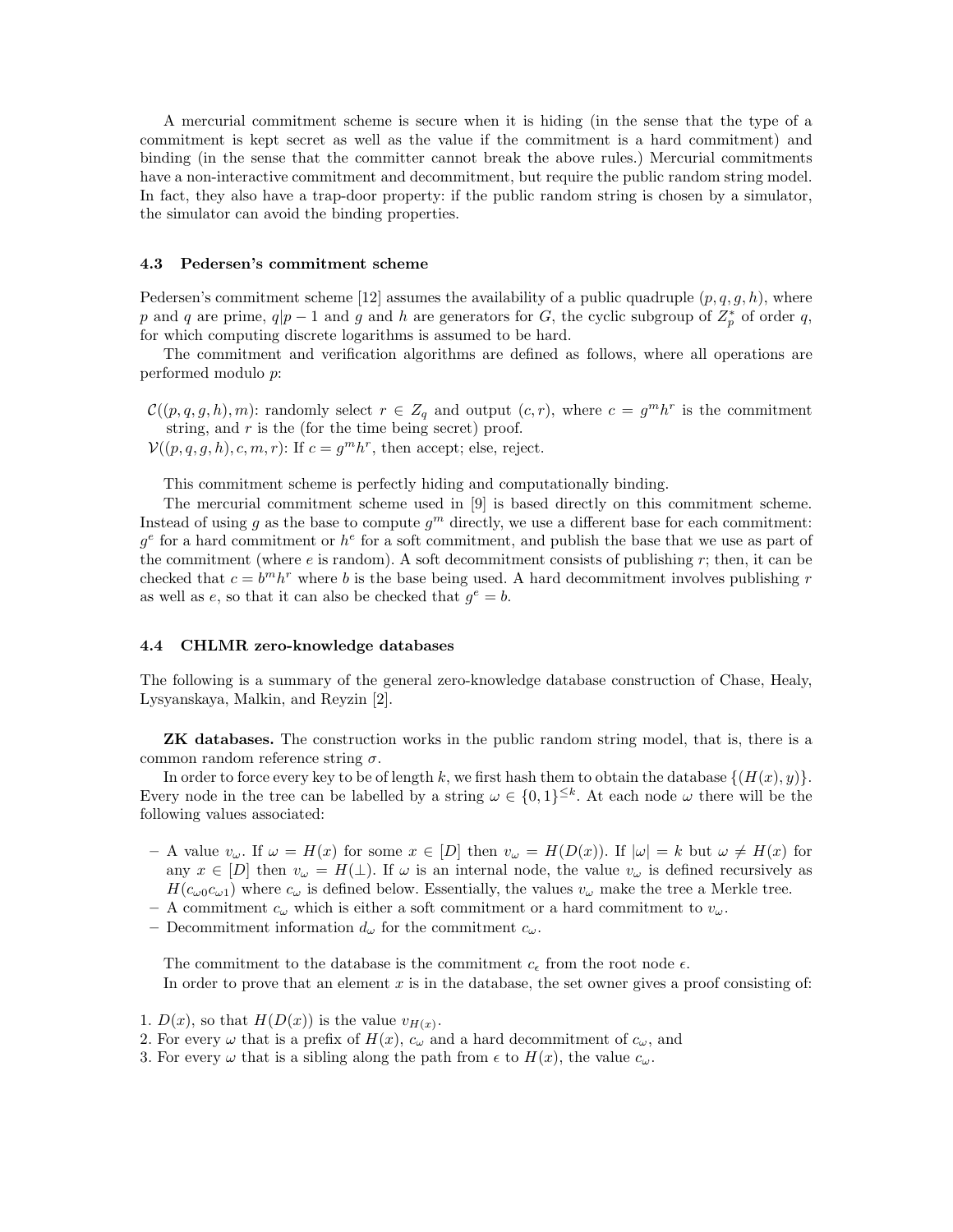A mercurial commitment scheme is secure when it is hiding (in the sense that the type of a commitment is kept secret as well as the value if the commitment is a hard commitment) and binding (in the sense that the committer cannot break the above rules.) Mercurial commitments have a non-interactive commitment and decommitment, but require the public random string model. In fact, they also have a trap-door property: if the public random string is chosen by a simulator, the simulator can avoid the binding properties.

### **4.3 Pedersen's commitment scheme**

Pedersen's commitment scheme [12] assumes the availability of a public quadruple  $(p, q, g, h)$ , where p and q are prime,  $q|p-1$  and q and h are generators for G, the cyclic subgroup of  $Z_p^*$  of order q, for which computing discrete logarithms is assumed to be hard.

The commitment and verification algorithms are defined as follows, where all operations are performed modulo p:

 $\mathcal{C}((p,q,g,h),m)$ : randomly select  $r \in Z_q$  and output  $(c,r)$ , where  $c = g^m h^r$  is the commitment string, and  $r$  is the (for the time being secret) proof.  $\mathcal{V}((p,q,g,h), c, m, r)$ : If  $c = g^m h^r$ , then accept; else, reject.

This commitment scheme is perfectly hiding and computationally binding.

The mercurial commitment scheme used in [9] is based directly on this commitment scheme. Instead of using g as the base to compute  $g<sup>m</sup>$  directly, we use a different base for each commitment:  $q^e$  for a hard commitment or  $h^e$  for a soft commitment, and publish the base that we use as part of the commitment (where  $e$  is random). A soft decommitment consists of publishing  $r$ ; then, it can be checked that  $c = b^m h^r$  where b is the base being used. A hard decommitment involves publishing r as well as e, so that it can also be checked that  $g^e = b$ .

#### **4.4 CHLMR zero-knowledge databases**

The following is a summary of the general zero-knowledge database construction of Chase, Healy, Lysyanskaya, Malkin, and Reyzin [2].

**ZK databases.** The construction works in the public random string model, that is, there is a common random reference string  $\sigma$ .

In order to force every key to be of length k, we first hash them to obtain the database  $\{(H(x), y)\}.$ Every node in the tree can be labelled by a string  $\omega \in \{0,1\}^{\leq k}$ . At each node  $\omega$  there will be the following values associated:

 $-$  A value  $v_{\omega}$ . If  $\omega = H(x)$  for some  $x \in [D]$  then  $v_{\omega} = H(D(x))$ . If  $|\omega| = k$  but  $\omega \neq H(x)$  for any  $x \in [D]$  then  $v_{\omega} = H(\perp)$ . If  $\omega$  is an internal node, the value  $v_{\omega}$  is defined recursively as  $H(c_{\omega 0}c_{\omega 1})$  where  $c_{\omega}$  is defined below. Essentially, the values  $v_{\omega}$  make the tree a Merkle tree.

 $-$  A commitment  $c_{\omega}$  which is either a soft commitment or a hard commitment to  $v_{\omega}$ .

– Decommitment information  $d_{\omega}$  for the commitment  $c_{\omega}$ .

The commitment to the database is the commitment  $c_{\epsilon}$  from the root node  $\epsilon$ . In order to prove that an element  $x$  is in the database, the set owner gives a proof consisting of:

- 1.  $D(x)$ , so that  $H(D(x))$  is the value  $v_{H(x)}$ .
- 2. For every  $\omega$  that is a prefix of  $H(x)$ ,  $c_{\omega}$  and a hard decommitment of  $c_{\omega}$ , and
- 3. For every  $\omega$  that is a sibling along the path from  $\epsilon$  to  $H(x)$ , the value  $c_{\omega}$ .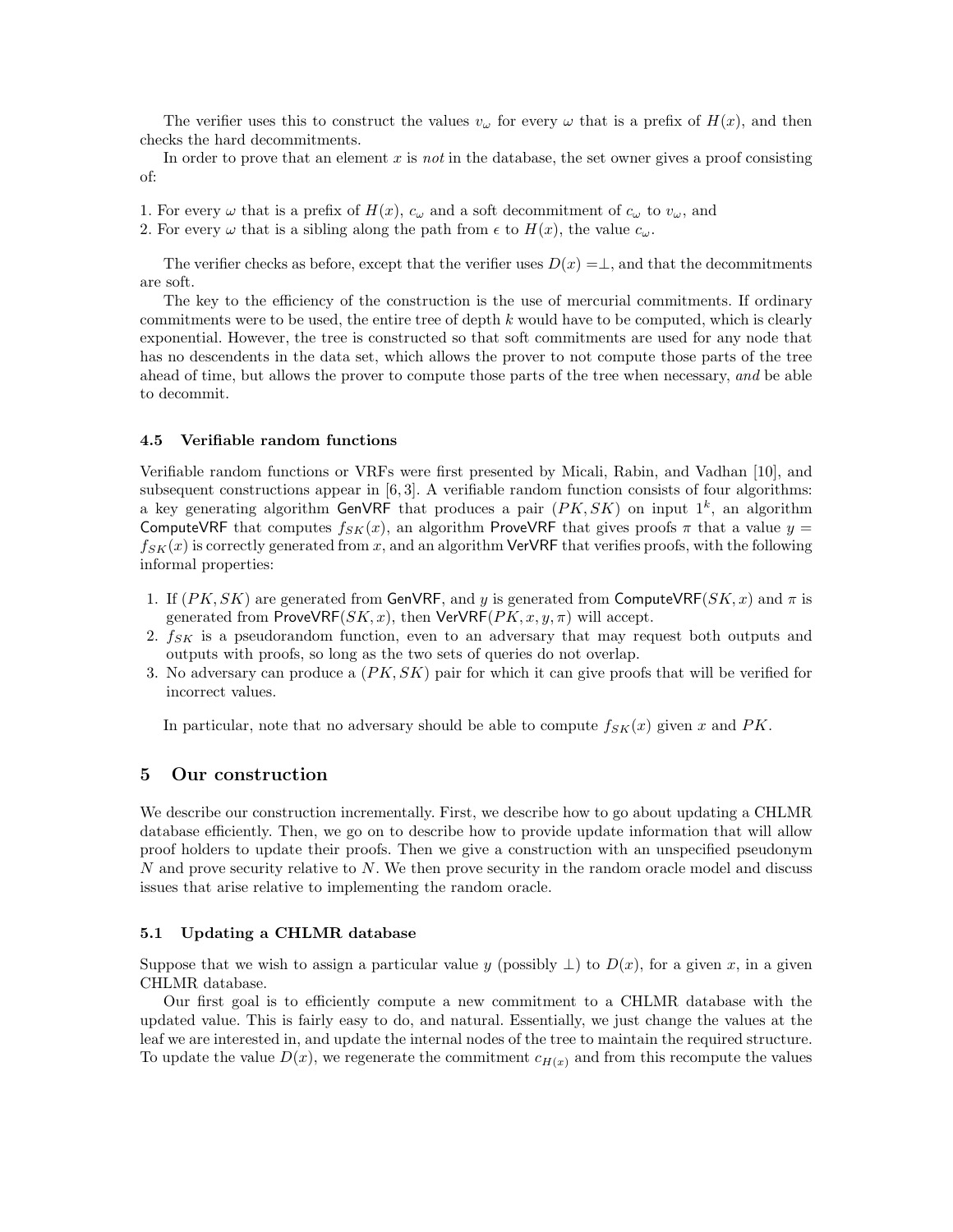The verifier uses this to construct the values  $v_{\omega}$  for every  $\omega$  that is a prefix of  $H(x)$ , and then checks the hard decommitments.

In order to prove that an element x is *not* in the database, the set owner gives a proof consisting of:

1. For every  $\omega$  that is a prefix of  $H(x)$ ,  $c_{\omega}$  and a soft decommitment of  $c_{\omega}$  to  $v_{\omega}$ , and

2. For every  $\omega$  that is a sibling along the path from  $\epsilon$  to  $H(x)$ , the value  $c_{\omega}$ .

The verifier checks as before, except that the verifier uses  $D(x) = \perp$ , and that the decommitments are soft.

The key to the efficiency of the construction is the use of mercurial commitments. If ordinary commitments were to be used, the entire tree of depth  $k$  would have to be computed, which is clearly exponential. However, the tree is constructed so that soft commitments are used for any node that has no descendents in the data set, which allows the prover to not compute those parts of the tree ahead of time, but allows the prover to compute those parts of the tree when necessary, *and* be able to decommit.

### **4.5 Verifiable random functions**

Verifiable random functions or VRFs were first presented by Micali, Rabin, and Vadhan [10], and subsequent constructions appear in  $[6, 3]$ . A verifiable random function consists of four algorithms: a key generating algorithm GenVRF that produces a pair  $(PK, SK)$  on input  $1<sup>k</sup>$ , an algorithm ComputeVRF that computes  $f_{SK}(x)$ , an algorithm ProveVRF that gives proofs  $\pi$  that a value  $y =$  $f_{SK}(x)$  is correctly generated from x, and an algorithm VerVRF that verifies proofs, with the following informal properties:

- 1. If  $(PK, SK)$  are generated from GenVRF, and y is generated from ComputeVRF( $SK, x$ ) and  $\pi$  is generated from ProveVRF( $SK, x$ ), then VerVRF( $PK, x, y, \pi$ ) will accept.
- 2.  $f_{SK}$  is a pseudorandom function, even to an adversary that may request both outputs and outputs with proofs, so long as the two sets of queries do not overlap.
- 3. No adversary can produce a (PK, SK) pair for which it can give proofs that will be verified for incorrect values.

In particular, note that no adversary should be able to compute  $f_{SK}(x)$  given x and PK.

### **5 Our construction**

We describe our construction incrementally. First, we describe how to go about updating a CHLMR database efficiently. Then, we go on to describe how to provide update information that will allow proof holders to update their proofs. Then we give a construction with an unspecified pseudonym N and prove security relative to N. We then prove security in the random oracle model and discuss issues that arise relative to implementing the random oracle.

#### **5.1 Updating a CHLMR database**

Suppose that we wish to assign a particular value y (possibly  $\perp$ ) to  $D(x)$ , for a given x, in a given CHLMR database.

Our first goal is to efficiently compute a new commitment to a CHLMR database with the updated value. This is fairly easy to do, and natural. Essentially, we just change the values at the leaf we are interested in, and update the internal nodes of the tree to maintain the required structure. To update the value  $D(x)$ , we regenerate the commitment  $c_{H(x)}$  and from this recompute the values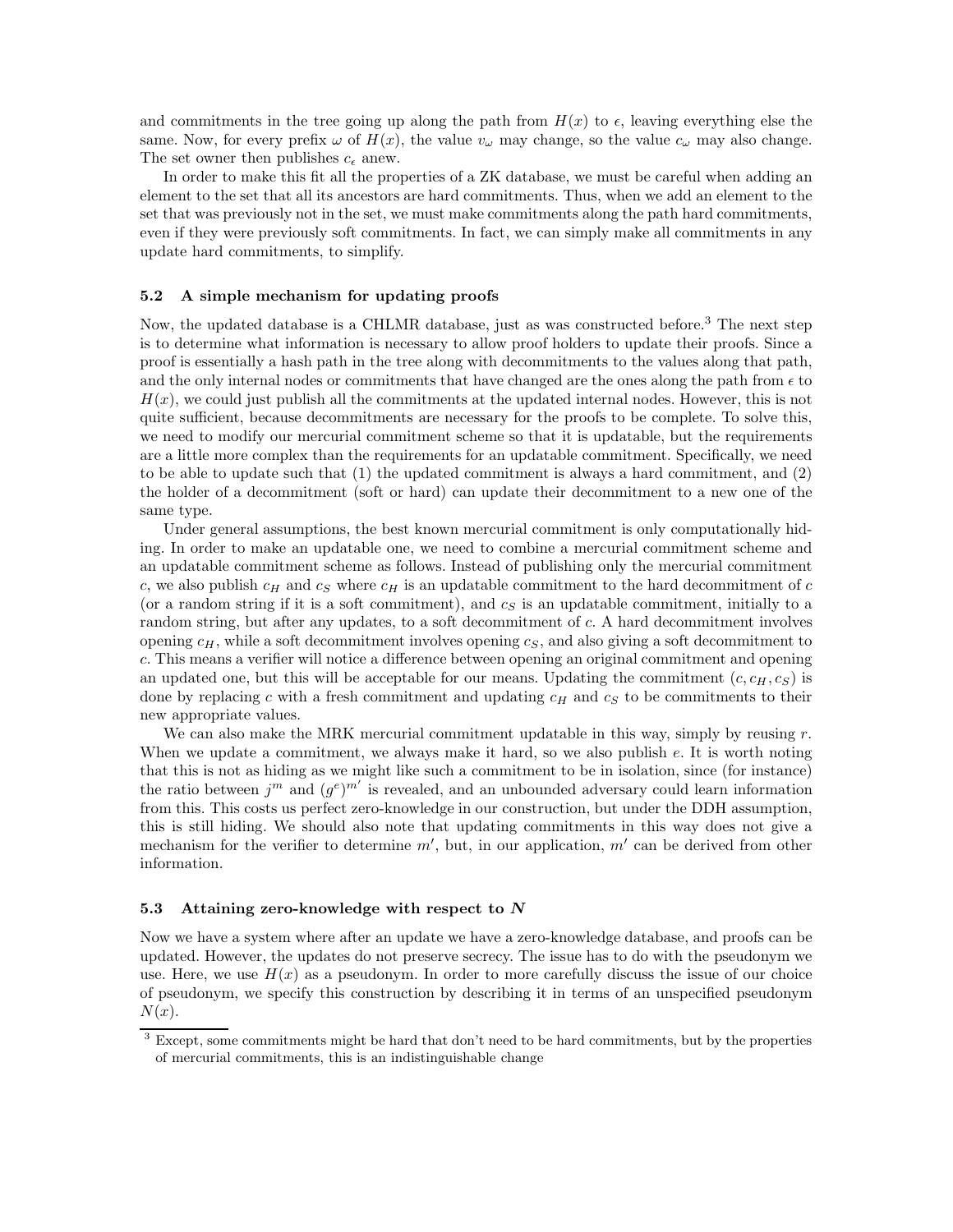and commitments in the tree going up along the path from  $H(x)$  to  $\epsilon$ , leaving everything else the same. Now, for every prefix  $\omega$  of  $H(x)$ , the value  $v_{\omega}$  may change, so the value  $c_{\omega}$  may also change. The set owner then publishes  $c_{\epsilon}$  anew.

In order to make this fit all the properties of a ZK database, we must be careful when adding an element to the set that all its ancestors are hard commitments. Thus, when we add an element to the set that was previously not in the set, we must make commitments along the path hard commitments, even if they were previously soft commitments. In fact, we can simply make all commitments in any update hard commitments, to simplify.

## **5.2 A simple mechanism for updating proofs**

Now, the updated database is a CHLMR database, just as was constructed before.<sup>3</sup> The next step is to determine what information is necessary to allow proof holders to update their proofs. Since a proof is essentially a hash path in the tree along with decommitments to the values along that path, and the only internal nodes or commitments that have changed are the ones along the path from  $\epsilon$  to  $H(x)$ , we could just publish all the commitments at the updated internal nodes. However, this is not quite sufficient, because decommitments are necessary for the proofs to be complete. To solve this, we need to modify our mercurial commitment scheme so that it is updatable, but the requirements are a little more complex than the requirements for an updatable commitment. Specifically, we need to be able to update such that (1) the updated commitment is always a hard commitment, and (2) the holder of a decommitment (soft or hard) can update their decommitment to a new one of the same type.

Under general assumptions, the best known mercurial commitment is only computationally hiding. In order to make an updatable one, we need to combine a mercurial commitment scheme and an updatable commitment scheme as follows. Instead of publishing only the mercurial commitment c, we also publish  $c_H$  and  $c_S$  where  $c_H$  is an updatable commitment to the hard decommitment of c (or a random string if it is a soft commitment), and  $c<sub>S</sub>$  is an updatable commitment, initially to a random string, but after any updates, to a soft decommitment of c. A hard decommitment involves opening  $c_H$ , while a soft decommitment involves opening  $c_S$ , and also giving a soft decommitment to c. This means a verifier will notice a difference between opening an original commitment and opening an updated one, but this will be acceptable for our means. Updating the commitment  $(c, c_H, c_S)$  is done by replacing c with a fresh commitment and updating  $c_H$  and  $c_S$  to be commitments to their new appropriate values.

We can also make the MRK mercurial commitment updatable in this way, simply by reusing  $r$ . When we update a commitment, we always make it hard, so we also publish e. It is worth noting that this is not as hiding as we might like such a commitment to be in isolation, since (for instance) the ratio between  $j^m$  and  $(g^e)^{m'}$  is revealed, and an unbounded adversary could learn information from this. This costs us perfect zero-knowledge in our construction, but under the DDH assumption, this is still hiding. We should also note that updating commitments in this way does not give a mechanism for the verifier to determine  $m'$ , but, in our application,  $m'$  can be derived from other information.

### **5.3 Attaining zero-knowledge with respect to** *N*

Now we have a system where after an update we have a zero-knowledge database, and proofs can be updated. However, the updates do not preserve secrecy. The issue has to do with the pseudonym we use. Here, we use  $H(x)$  as a pseudonym. In order to more carefully discuss the issue of our choice of pseudonym, we specify this construction by describing it in terms of an unspecified pseudonym  $N(x)$ .

<sup>&</sup>lt;sup>3</sup> Except, some commitments might be hard that don't need to be hard commitments, but by the properties of mercurial commitments, this is an indistinguishable change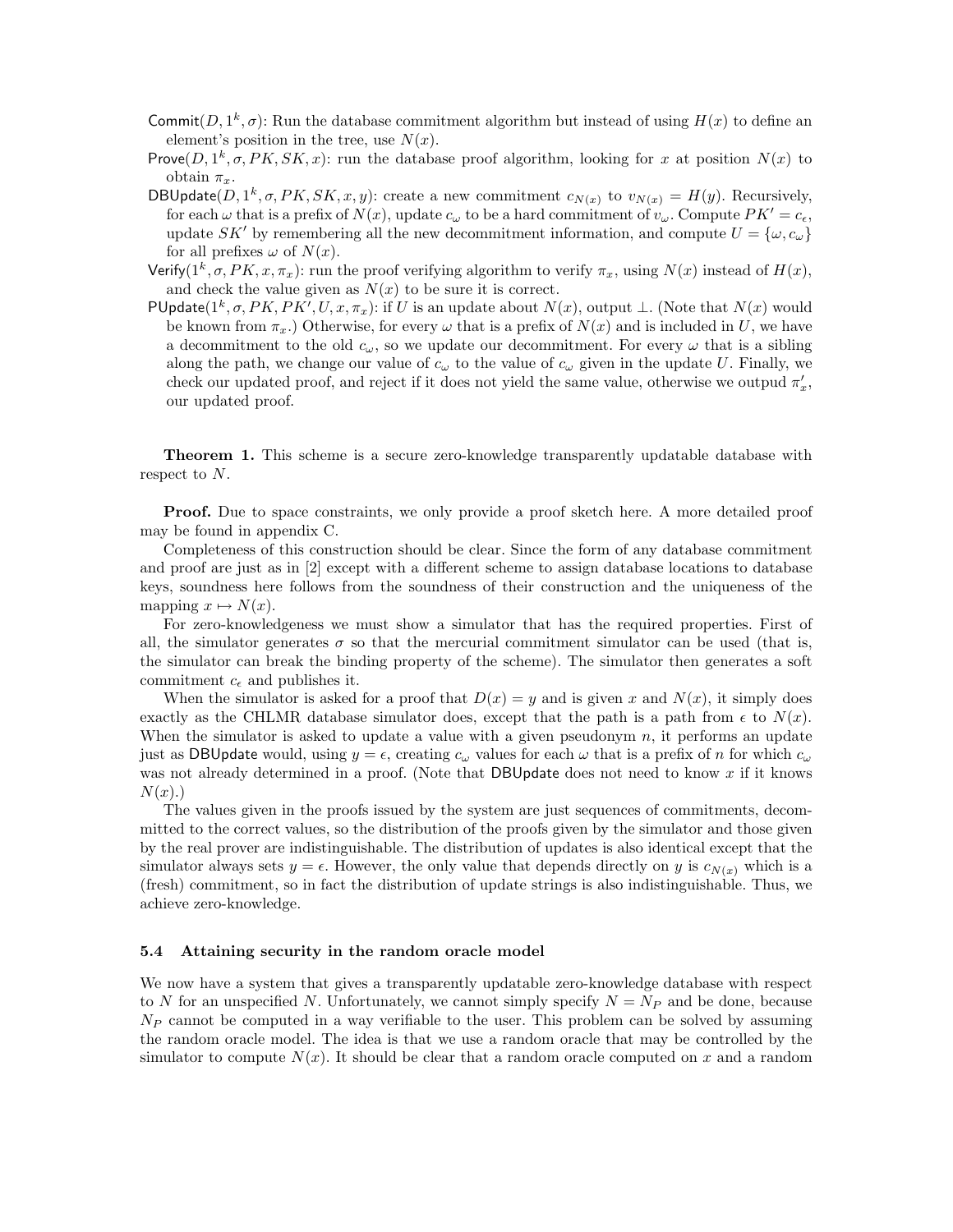- Commit $(D, 1^k, \sigma)$ : Run the database commitment algorithm but instead of using  $H(x)$  to define an element's position in the tree, use  $N(x)$ .
- Prove $(D, 1^k, \sigma, PK, SK, x)$ : run the database proof algorithm, looking for x at position  $N(x)$  to obtain  $\pi_x$ .
- DBUpdate( $D, 1^k, \sigma, PK, SK, x, y$ ): create a new commitment  $c_{N(x)}$  to  $v_{N(x)} = H(y)$ . Recursively, for each  $\omega$  that is a prefix of  $N(x)$ , update  $c_{\omega}$  to be a hard commitment of  $v_{\omega}$ . Compute  $PK' = c_{\epsilon}$ , update  $SK'$  by remembering all the new decommitment information, and compute  $U = {\omega, c_{\omega}}$ for all prefixes  $\omega$  of  $N(x)$ .
- Verify( $1^k$ ,  $\sigma$ ,  $PK$ ,  $x$ ,  $\pi_x$ ): run the proof verifying algorithm to verify  $\pi_x$ , using  $N(x)$  instead of  $H(x)$ , and check the value given as  $N(x)$  to be sure it is correct.
- PUpdate( $1^k, \sigma, PK, PK', U, x, \pi_x$ ): if U is an update about  $N(x)$ , output  $\perp$ . (Note that  $N(x)$  would be known from  $\pi_x$ .) Otherwise, for every  $\omega$  that is a prefix of  $N(x)$  and is included in U, we have a decommitment to the old  $c_{\omega}$ , so we update our decommitment. For every  $\omega$  that is a sibling along the path, we change our value of  $c_{\omega}$  to the value of  $c_{\omega}$  given in the update U. Finally, we check our updated proof, and reject if it does not yield the same value, otherwise we outpud  $\pi'_x$ , our updated proof.

**Theorem 1.** This scheme is a secure zero-knowledge transparently updatable database with respect to  $N$ .

**Proof.** Due to space constraints, we only provide a proof sketch here. A more detailed proof may be found in appendix C.

Completeness of this construction should be clear. Since the form of any database commitment and proof are just as in [2] except with a different scheme to assign database locations to database keys, soundness here follows from the soundness of their construction and the uniqueness of the mapping  $x \mapsto N(x)$ .

For zero-knowledgeness we must show a simulator that has the required properties. First of all, the simulator generates  $\sigma$  so that the mercurial commitment simulator can be used (that is, the simulator can break the binding property of the scheme). The simulator then generates a soft commitment  $c_{\epsilon}$  and publishes it.

When the simulator is asked for a proof that  $D(x) = y$  and is given x and  $N(x)$ , it simply does exactly as the CHLMR database simulator does, except that the path is a path from  $\epsilon$  to  $N(x)$ . When the simulator is asked to update a value with a given pseudonym  $n$ , it performs an update just as DBU pdate would, using  $y = \epsilon$ , creating  $c_{\omega}$  values for each  $\omega$  that is a prefix of n for which  $c_{\omega}$ was not already determined in a proof. (Note that DBUpdate does not need to know  $x$  if it knows  $N(x)$ .)

The values given in the proofs issued by the system are just sequences of commitments, decommitted to the correct values, so the distribution of the proofs given by the simulator and those given by the real prover are indistinguishable. The distribution of updates is also identical except that the simulator always sets  $y = \epsilon$ . However, the only value that depends directly on y is  $c_{N(x)}$  which is a (fresh) commitment, so in fact the distribution of update strings is also indistinguishable. Thus, we achieve zero-knowledge.

#### **5.4 Attaining security in the random oracle model**

We now have a system that gives a transparently updatable zero-knowledge database with respect to N for an unspecified N. Unfortunately, we cannot simply specify  $N = N_P$  and be done, because  $N_P$  cannot be computed in a way verifiable to the user. This problem can be solved by assuming the random oracle model. The idea is that we use a random oracle that may be controlled by the simulator to compute  $N(x)$ . It should be clear that a random oracle computed on x and a random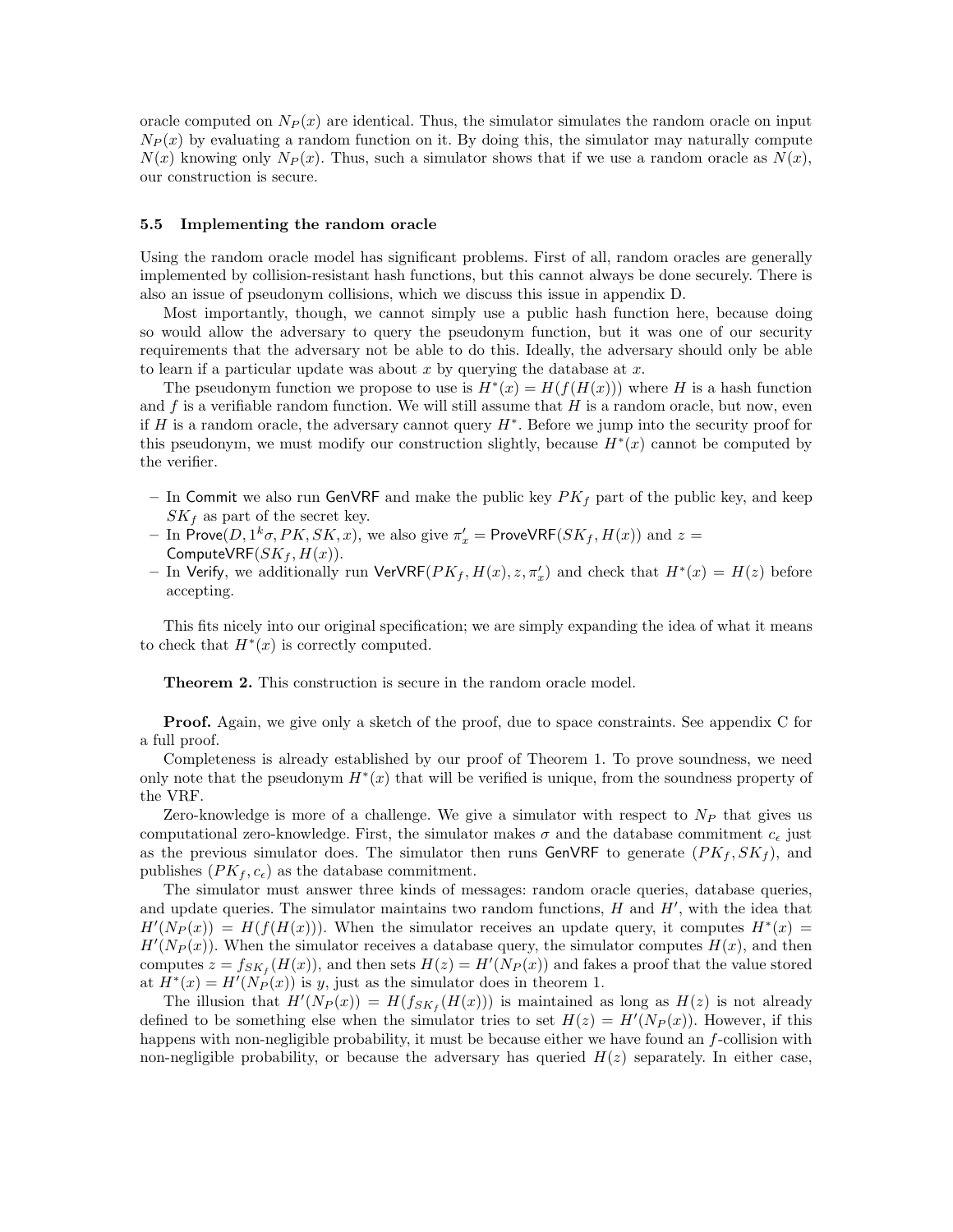oracle computed on  $N_P(x)$  are identical. Thus, the simulator simulates the random oracle on input  $N_P(x)$  by evaluating a random function on it. By doing this, the simulator may naturally compute  $N(x)$  knowing only  $N_P(x)$ . Thus, such a simulator shows that if we use a random oracle as  $N(x)$ , our construction is secure.

#### **5.5 Implementing the random oracle**

Using the random oracle model has significant problems. First of all, random oracles are generally implemented by collision-resistant hash functions, but this cannot always be done securely. There is also an issue of pseudonym collisions, which we discuss this issue in appendix D.

Most importantly, though, we cannot simply use a public hash function here, because doing so would allow the adversary to query the pseudonym function, but it was one of our security requirements that the adversary not be able to do this. Ideally, the adversary should only be able to learn if a particular update was about x by querying the database at  $x$ .

The pseudonym function we propose to use is  $H^*(x) = H(f(H(x)))$  where H is a hash function and f is a verifiable random function. We will still assume that  $H$  is a random oracle, but now, even if H is a random oracle, the adversary cannot query  $H^*$ . Before we jump into the security proof for this pseudonym, we must modify our construction slightly, because  $H^*(x)$  cannot be computed by the verifier.

- In Commit we also run GenVRF and make the public key  $PK_f$  part of the public key, and keep  $SK_f$  as part of the secret key.
- $-$  In Prove $(D, 1^k \sigma, PK, SK, x)$ , we also give  $\pi'_x =$  ProveVRF $(SK_f, H(x))$  and  $z =$ ComputeVRF $(SK_f, H(x))$ .
- **−** In Verify, we additionally run VerVRF( $PK_f$ ,  $H(x)$ ,  $z$ ,  $\pi'_x$ ) and check that  $H^*(x) = H(z)$  before accepting.

This fits nicely into our original specification; we are simply expanding the idea of what it means to check that  $H^*(x)$  is correctly computed.

**Theorem 2.** This construction is secure in the random oracle model.

**Proof.** Again, we give only a sketch of the proof, due to space constraints. See appendix C for a full proof.

Completeness is already established by our proof of Theorem 1. To prove soundness, we need only note that the pseudonym  $H^*(x)$  that will be verified is unique, from the soundness property of the VRF.

Zero-knowledge is more of a challenge. We give a simulator with respect to  $N_P$  that gives us computational zero-knowledge. First, the simulator makes  $\sigma$  and the database commitment  $c_{\epsilon}$  just as the previous simulator does. The simulator then runs GenVRF to generate  $(PK_f, SK_f)$ , and publishes  $(PK_f, c_{\epsilon})$  as the database commitment.

The simulator must answer three kinds of messages: random oracle queries, database queries, and update queries. The simulator maintains two random functions,  $H$  and  $H'$ , with the idea that  $H'(N_P(x)) = H(f(H(x)))$ . When the simulator receives an update query, it computes  $H^*(x) =$  $H'(N_P(x))$ . When the simulator receives a database query, the simulator computes  $H(x)$ , and then computes  $z = f_{SK_f}(H(x))$ , and then sets  $H(z) = H'(N_P(x))$  and fakes a proof that the value stored at  $H^*(x) = H'(N_P(x))$  is y, just as the simulator does in theorem 1.

The illusion that  $H'(N_P(x)) = H(f_{SK_f}(H(x)))$  is maintained as long as  $H(z)$  is not already defined to be something else when the simulator tries to set  $H(z) = H'(N_P(x))$ . However, if this happens with non-negligible probability, it must be because either we have found an f-collision with non-negligible probability, or because the adversary has queried  $H(z)$  separately. In either case,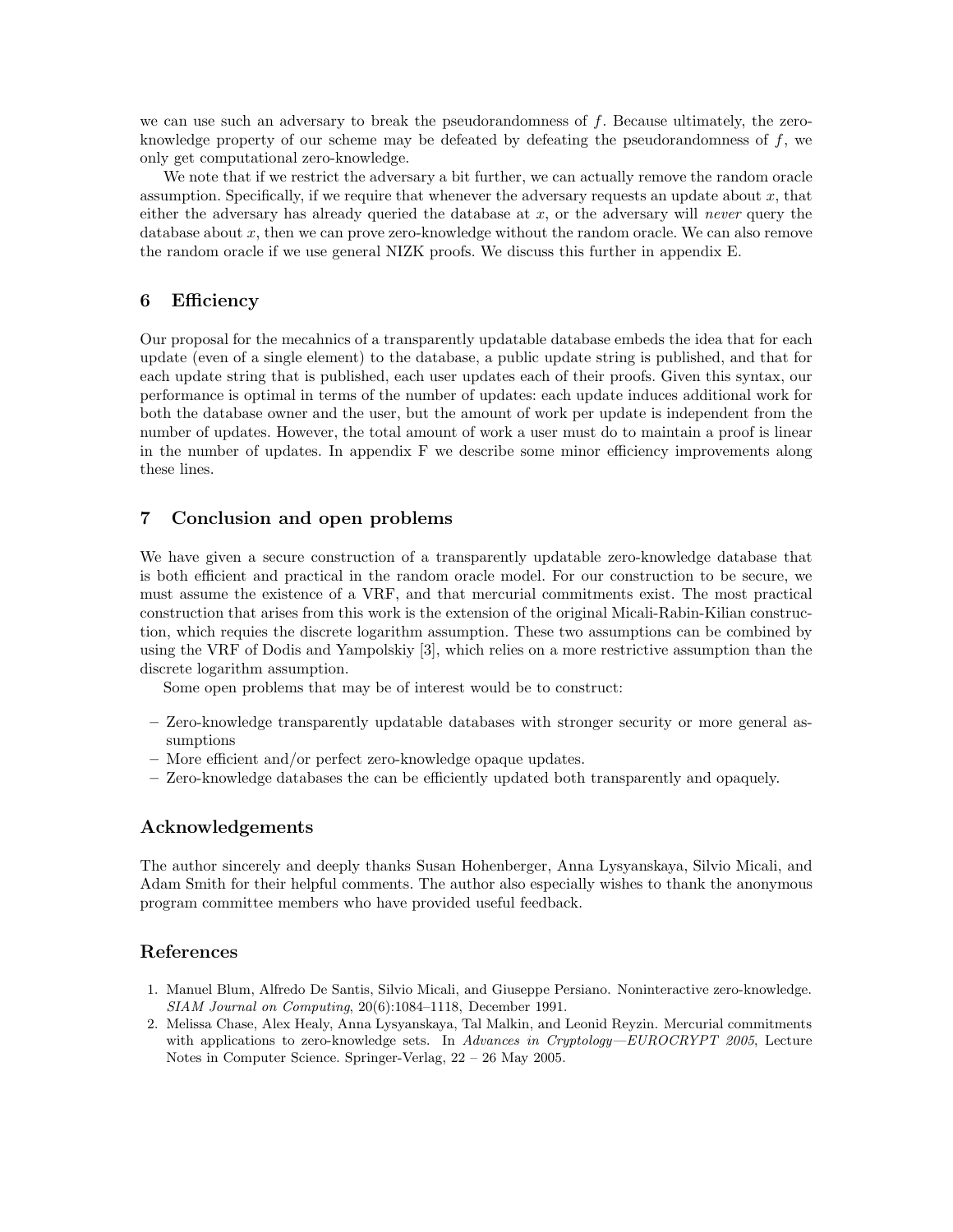we can use such an adversary to break the pseudorandomness of  $f$ . Because ultimately, the zeroknowledge property of our scheme may be defeated by defeating the pseudorandomness of  $f$ , we only get computational zero-knowledge.

We note that if we restrict the adversary a bit further, we can actually remove the random oracle assumption. Specifically, if we require that whenever the adversary requests an update about  $x$ , that either the adversary has already queried the database at x, or the adversary will *never* query the database about  $x$ , then we can prove zero-knowledge without the random oracle. We can also remove the random oracle if we use general NIZK proofs. We discuss this further in appendix E.

## **6 Efficiency**

Our proposal for the mecahnics of a transparently updatable database embeds the idea that for each update (even of a single element) to the database, a public update string is published, and that for each update string that is published, each user updates each of their proofs. Given this syntax, our performance is optimal in terms of the number of updates: each update induces additional work for both the database owner and the user, but the amount of work per update is independent from the number of updates. However, the total amount of work a user must do to maintain a proof is linear in the number of updates. In appendix F we describe some minor efficiency improvements along these lines.

## **7 Conclusion and open problems**

We have given a secure construction of a transparently updatable zero-knowledge database that is both efficient and practical in the random oracle model. For our construction to be secure, we must assume the existence of a VRF, and that mercurial commitments exist. The most practical construction that arises from this work is the extension of the original Micali-Rabin-Kilian construction, which requies the discrete logarithm assumption. These two assumptions can be combined by using the VRF of Dodis and Yampolskiy [3], which relies on a more restrictive assumption than the discrete logarithm assumption.

Some open problems that may be of interest would be to construct:

- **–** Zero-knowledge transparently updatable databases with stronger security or more general assumptions
- **–** More efficient and/or perfect zero-knowledge opaque updates.
- **–** Zero-knowledge databases the can be efficiently updated both transparently and opaquely.

## **Acknowledgements**

The author sincerely and deeply thanks Susan Hohenberger, Anna Lysyanskaya, Silvio Micali, and Adam Smith for their helpful comments. The author also especially wishes to thank the anonymous program committee members who have provided useful feedback.

## **References**

- 1. Manuel Blum, Alfredo De Santis, Silvio Micali, and Giuseppe Persiano. Noninteractive zero-knowledge. *SIAM Journal on Computing*, 20(6):1084–1118, December 1991.
- 2. Melissa Chase, Alex Healy, Anna Lysyanskaya, Tal Malkin, and Leonid Reyzin. Mercurial commitments with applications to zero-knowledge sets. In *Advances in Cryptology—EUROCRYPT 2005*, Lecture Notes in Computer Science. Springer-Verlag, 22 – 26 May 2005.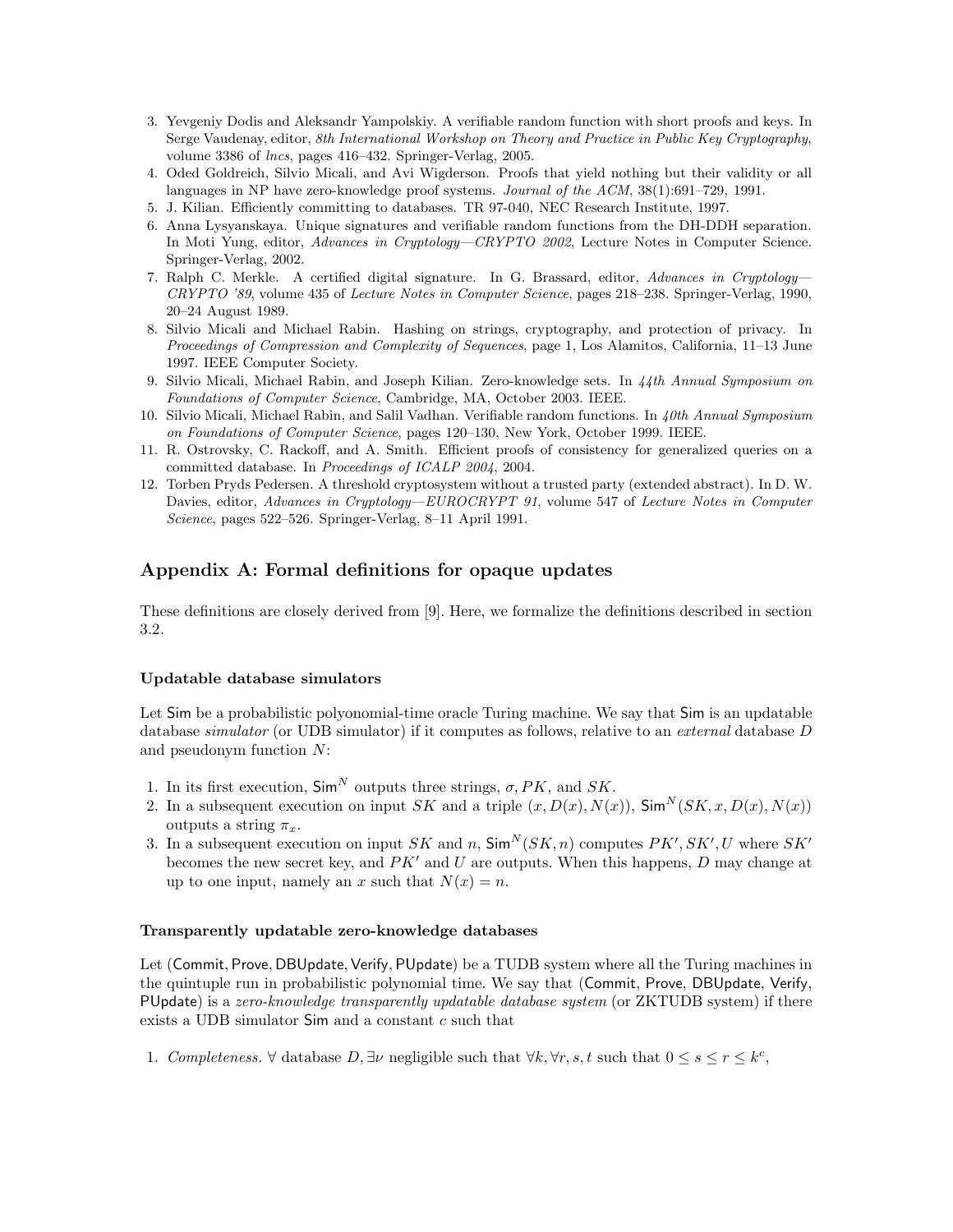- 3. Yevgeniy Dodis and Aleksandr Yampolskiy. A verifiable random function with short proofs and keys. In Serge Vaudenay, editor, *8th International Workshop on Theory and Practice in Public Key Cryptography*, volume 3386 of *lncs*, pages 416–432. Springer-Verlag, 2005.
- 4. Oded Goldreich, Silvio Micali, and Avi Wigderson. Proofs that yield nothing but their validity or all languages in NP have zero-knowledge proof systems. *Journal of the ACM*, 38(1):691–729, 1991.
- 5. J. Kilian. Efficiently committing to databases. TR 97-040, NEC Research Institute, 1997.
- 6. Anna Lysyanskaya. Unique signatures and verifiable random functions from the DH-DDH separation. In Moti Yung, editor, *Advances in Cryptology—CRYPTO 2002*, Lecture Notes in Computer Science. Springer-Verlag, 2002.
- 7. Ralph C. Merkle. A certified digital signature. In G. Brassard, editor, *Advances in Cryptology— CRYPTO '89*, volume 435 of *Lecture Notes in Computer Science*, pages 218–238. Springer-Verlag, 1990, 20–24 August 1989.
- 8. Silvio Micali and Michael Rabin. Hashing on strings, cryptography, and protection of privacy. In *Proceedings of Compression and Complexity of Sequences*, page 1, Los Alamitos, California, 11–13 June 1997. IEEE Computer Society.
- 9. Silvio Micali, Michael Rabin, and Joseph Kilian. Zero-knowledge sets. In *44th Annual Symposium on Foundations of Computer Science*, Cambridge, MA, October 2003. IEEE.
- 10. Silvio Micali, Michael Rabin, and Salil Vadhan. Verifiable random functions. In *40th Annual Symposium on Foundations of Computer Science*, pages 120–130, New York, October 1999. IEEE.
- 11. R. Ostrovsky, C. Rackoff, and A. Smith. Efficient proofs of consistency for generalized queries on a committed database. In *Proceedings of ICALP 2004*, 2004.
- 12. Torben Pryds Pedersen. A threshold cryptosystem without a trusted party (extended abstract). In D. W. Davies, editor, *Advances in Cryptology—EUROCRYPT 91*, volume 547 of *Lecture Notes in Computer Science*, pages 522–526. Springer-Verlag, 8–11 April 1991.

## **Appendix A: Formal definitions for opaque updates**

These definitions are closely derived from [9]. Here, we formalize the definitions described in section 3.2.

### **Updatable database simulators**

Let Sim be a probabilistic polyonomial-time oracle Turing machine. We say that Sim is an updatable database *simulator* (or UDB simulator) if it computes as follows, relative to an *external* database D and pseudonym function N:

- 1. In its first execution,  $\mathsf{Sim}^N$  outputs three strings,  $\sigma, PK$ , and  $SK$ .
- 2. In a subsequent execution on input SK and a triple  $(x, D(x), N(x))$ , Sim<sup>N</sup> $(SK, x, D(x), N(x))$ outputs a string  $\pi_x$ .
- 3. In a subsequent execution on input SK and n,  $\text{Sim}^N(SK, n)$  computes  $PK', SK', U$  where  $SK'$ becomes the new secret key, and  $PK'$  and U are outputs. When this happens, D may change at up to one input, namely an x such that  $N(x) = n$ .

### **Transparently updatable zero-knowledge databases**

Let (Commit, Prove, DBUpdate, Verify, PUpdate) be a TUDB system where all the Turing machines in the quintuple run in probabilistic polynomial time. We say that (Commit, Prove, DBUpdate, Verify, PUpdate) is a *zero-knowledge transparently updatable database system* (or ZKTUDB system) if there exists a UDB simulator Sim and a constant c such that

1. *Completeness.*  $\forall$  database  $D, \exists \nu$  negligible such that  $\forall k, \forall r, s, t$  such that  $0 \leq s \leq r \leq k^c$ ,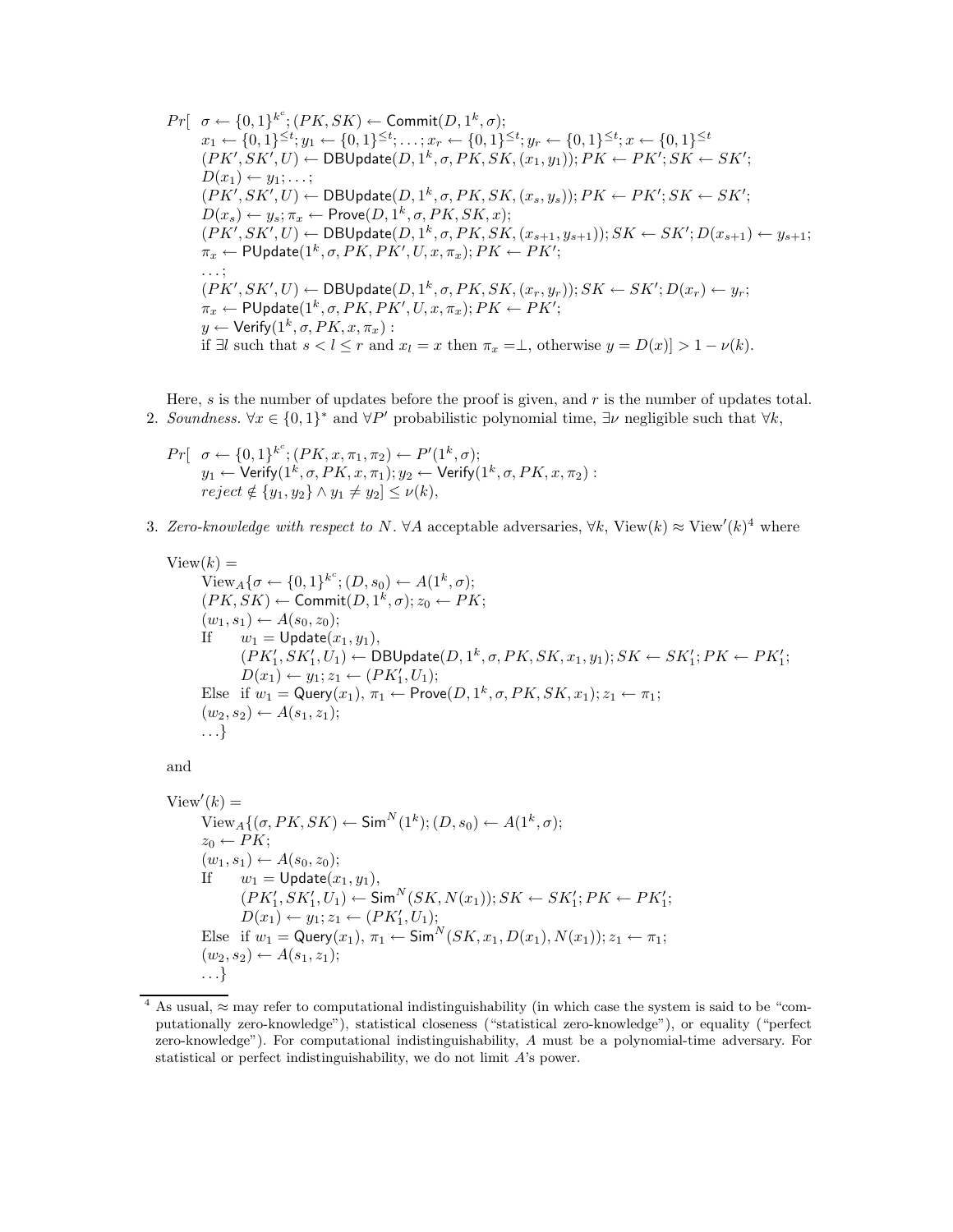$$
Pr[\ \sigma \leftarrow \{0,1\}^{k^c}; (PK, SK) \leftarrow \text{Commit}(D, 1^k, \sigma);\nx_1 \leftarrow \{0,1\}^{\leq t}; y_1 \leftarrow \{0,1\}^{\leq t}; \dots; x_r \leftarrow \{0,1\}^{\leq t}; y_r \leftarrow \{0,1\}^{\leq t}; x \leftarrow \{0,1\}^{\leq t};\n(PK', SK', U) \leftarrow \text{DBUpdate}(D, 1^k, \sigma, PK, SK, (x_1, y_1)); PK \leftarrow PK'; SK \leftarrow SK';\nD(x_1) \leftarrow y_1; \dots; \n(PK', SK', U) \leftarrow \text{DBUpdate}(D, 1^k, \sigma, PK, SK, (x_s, y_s)); PK \leftarrow PK'; SK \leftarrow SK'; \nD(x_s) \leftarrow y_s; \pi_x \leftarrow \text{Prove}(D, 1^k, \sigma, PK, SK, x); \n(PK', SK', U) \leftarrow \text{DBUpdate}(D, 1^k, \sigma, PK, SK, (x_{s+1}, y_{s+1})); SK \leftarrow SK'; D(x_{s+1}) \leftarrow y_{s+1}; \pi_x \leftarrow \text{Plydate}(1^k, \sigma, PK, PK', U, x, \pi_x); PK \leftarrow PK'; \n\cdots; \n(PK', SK', U) \leftarrow \text{DBUpdate}(D, 1^k, \sigma, PK, SK, (x_r, y_r)); SK \leftarrow SK'; D(x_r) \leftarrow y_r; \n\pi_x \leftarrow \text{Plydate}(1^k, \sigma, PK, PK', U, x, \pi_x); PK \leftarrow PK'; \ny \leftarrow \text{Verify}(1^k, \sigma, PK, x, \pi_x) : \nif  $\exists l$  such that  $s < l \leq r$  and  $x_l = x$  then  $\pi_x = \bot$ , otherwise  $y = D(x) > 1 - \nu(k)$ .
$$

Here,  $s$  is the number of updates before the proof is given, and  $r$  is the number of updates total. 2. *Soundness.*  $\forall x \in \{0,1\}^*$  and  $\forall P'$  probabilistic polynomial time,  $\exists \nu$  negligible such that  $\forall k$ ,

- $Pr[ \quad \sigma \leftarrow \{0,1\}^{k^c}; (PK, x, \pi_1, \pi_2) \leftarrow P'(1^k, \sigma);$  $y_1 \leftarrow \mathsf{Verify}(1^k, \sigma, PK, x, \pi_1); y_2 \leftarrow \mathsf{Verify}(1^k, \sigma, PK, x, \pi_2):$  $reject \notin \{y_1, y_2\} \land y_1 \neq y_2] \leq \nu(k),$
- 3. *Zero-knowledge with respect to* N.  $\forall A$  acceptable adversaries,  $\forall k$ , View $(k) \approx$  View $'(k)^4$  where

View(k) =  
\nView<sub>A</sub>{
$$
\sigma \leftarrow \{0, 1\}^{k^c}; (D, s_0) \leftarrow A(1^k, \sigma);
$$
  
\n $(PK, SK) \leftarrow$  Commit( $D, 1^k, \sigma$ );  $z_0 \leftarrow PK;$   
\n $(w_1, s_1) \leftarrow A(s_0, z_0);$   
\nIf  $w_1 = \text{Update}(x_1, y_1),$   
\n $(PK'_1, SK'_1, U_1) \leftarrow \text{DBUpdate}(D, 1^k, \sigma, PK, SK, x_1, y_1); SK \leftarrow SK'_1; PK \leftarrow PK'_1; D(x_1) \leftarrow y_1; z_1 \leftarrow (PK'_1, U_1);$   
\nElse if  $w_1 = \text{Query}(x_1), \pi_1 \leftarrow \text{Prove}(D, 1^k, \sigma, PK, SK, x_1); z_1 \leftarrow \pi_1;$   
\n $(w_2, s_2) \leftarrow A(s_1, z_1);$   
\n...}

and

View'
$$
(k)
$$
 =  
\nView<sub>A</sub>{ $(\sigma, PK, SK) \leftarrow \text{Sim}^N(1^k)$ ;  $(D, s_0) \leftarrow A(1^k, \sigma)$ ;  
\n $z_0 \leftarrow PK$ ;  
\n $(w_1, s_1) \leftarrow A(s_0, z_0)$ ;  
\nIf  $w_1 = \text{Update}(x_1, y_1)$ ,  
\n $(PK'_1, SK'_1, U_1) \leftarrow \text{Sim}^N(SK, N(x_1))$ ;  $SK \leftarrow SK'_1$ ;  $PK \leftarrow PK'_1$ ;  
\n $D(x_1) \leftarrow y_1$ ;  $z_1 \leftarrow (PK'_1, U_1)$ ;  
\nElse if  $w_1 = \text{Query}(x_1), \pi_1 \leftarrow \text{Sim}^N(SK, x_1, D(x_1), N(x_1))$ ;  $z_1 \leftarrow \pi_1$ ;  
\n $(w_2, s_2) \leftarrow A(s_1, z_1)$ ;  
\n...}

 $\frac{4}{4}$  As usual,  $\approx$  may refer to computational indistinguishability (in which case the system is said to be "computationally zero-knowledge"), statistical closeness ("statistical zero-knowledge"), or equality ("perfect zero-knowledge"). For computational indistinguishability, *A* must be a polynomial-time adversary. For statistical or perfect indistinguishability, we do not limit *A*'s power.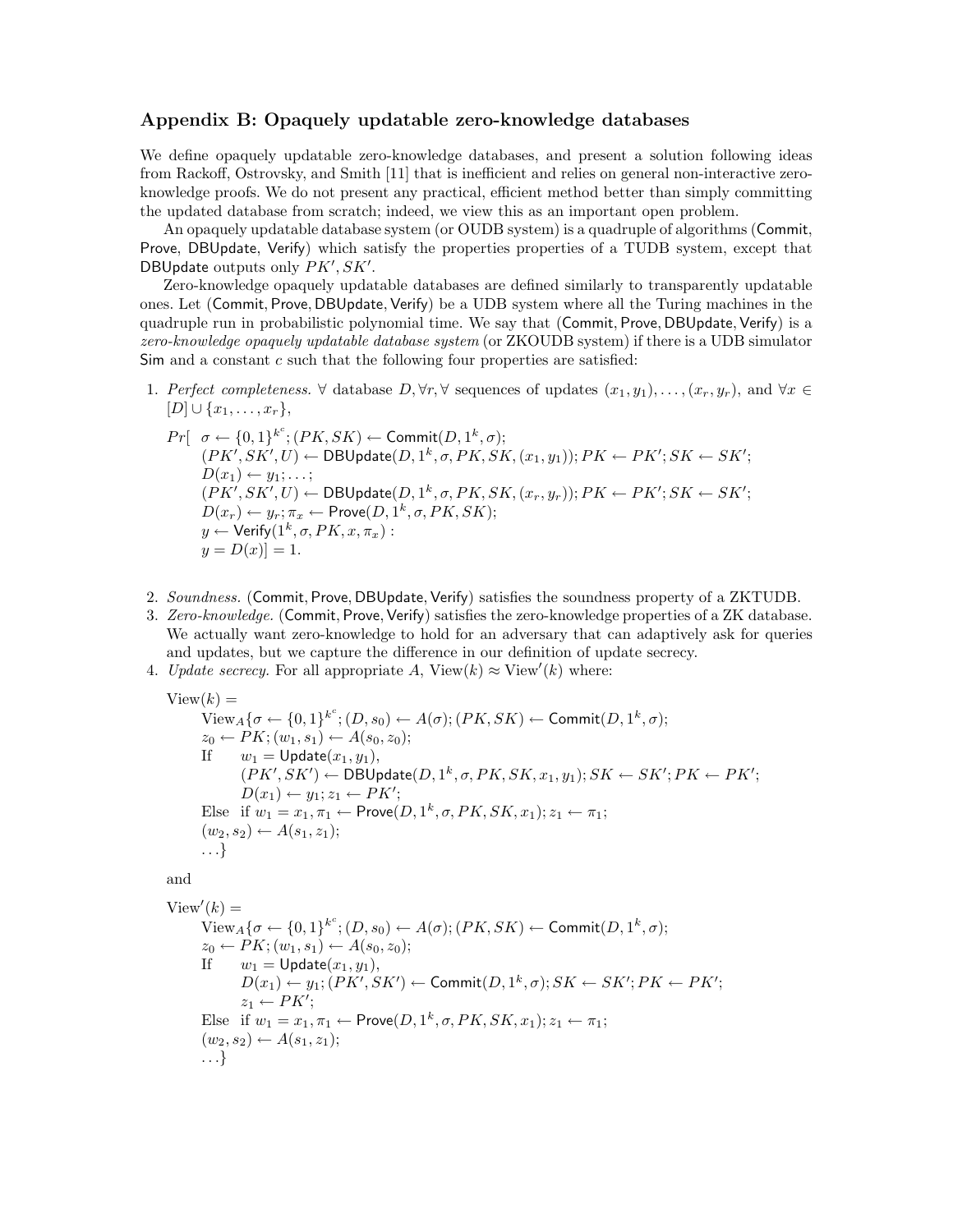## **Appendix B: Opaquely updatable zero-knowledge databases**

We define opaquely updatable zero-knowledge databases, and present a solution following ideas from Rackoff, Ostrovsky, and Smith [11] that is inefficient and relies on general non-interactive zeroknowledge proofs. We do not present any practical, efficient method better than simply committing the updated database from scratch; indeed, we view this as an important open problem.

An opaquely updatable database system (or OUDB system) is a quadruple of algorithms (Commit, Prove, DBUpdate, Verify) which satisfy the properties properties of a TUDB system, except that DBUpdate outputs only  $PK', SK'.$ 

Zero-knowledge opaquely updatable databases are defined similarly to transparently updatable ones. Let (Commit, Prove, DBUpdate, Verify) be a UDB system where all the Turing machines in the quadruple run in probabilistic polynomial time. We say that (Commit, Prove, DBUpdate, Verify) is a *zero-knowledge opaquely updatable database system* (or ZKOUDB system) if there is a UDB simulator Sim and a constant c such that the following four properties are satisfied:

1. *Perfect completeness.*  $\forall$  database  $D, \forall r, \forall$  sequences of updates  $(x_1, y_1), \ldots, (x_r, y_r)$ , and  $\forall x \in$  $[D] \cup \{x_1, \ldots, x_r\},\$ 

$$
\begin{array}{ll} Pr[ \quad \sigma \leftarrow \{0,1\}^{k^c}; (PK, SK) \leftarrow \mathsf{Commit}(D, 1^k, \sigma); \\ & (PK', SK', U) \leftarrow \mathsf{DBUpdate}(D, 1^k, \sigma, PK, SK, (x_1, y_1)); PK \leftarrow PK'; SK \leftarrow SK'; \\ & D(x_1) \leftarrow y_1; \dots; \\ & (PK', SK', U) \leftarrow \mathsf{DBUpdate}(D, 1^k, \sigma, PK, SK, (x_r, y_r)); PK \leftarrow PK'; SK \leftarrow SK'; \\ & D(x_r) \leftarrow y_r; \pi_x \leftarrow \mathsf{Prove}(D, 1^k, \sigma, PK, SK); \\ & y \leftarrow \mathsf{Verify}(1^k, \sigma, PK, x, \pi_x); \\ & y = D(x)] = 1. \end{array}
$$

- 2. *Soundness.* (Commit, Prove, DBUpdate, Verify) satisfies the soundness property of a ZKTUDB.
- 3. *Zero-knowledge.* (Commit, Prove, Verify) satisfies the zero-knowledge properties of a ZK database. We actually want zero-knowledge to hold for an adversary that can adaptively ask for queries and updates, but we capture the difference in our definition of update secrecy.
- 4. *Update secrecy*. For all appropriate A,  $View(k) \approx View'(k)$  where:

View(k) =  
\nView<sub>A</sub>{
$$
\sigma \leftarrow \{0,1\}^{k^c}; (D, s_0) \leftarrow A(\sigma); (PK, SK) \leftarrow \text{Commit}(D, 1^k, \sigma);
$$
  
\n $z_0 \leftarrow PK; (w_1, s_1) \leftarrow A(s_0, z_0);$   
\nIf  $w_1 = \text{Update}(x_1, y_1),$   
\n $(PK', SK') \leftarrow \text{DBUpdate}(D, 1^k, \sigma, PK, SK, x_1, y_1); SK \leftarrow SK'; PK \leftarrow PK';$   
\n $D(x_1) \leftarrow y_1; z_1 \leftarrow PK';$   
\nElse if  $w_1 = x_1, \pi_1 \leftarrow \text{Prove}(D, 1^k, \sigma, PK, SK, x_1); z_1 \leftarrow \pi_1;$   
\n $(w_2, s_2) \leftarrow A(s_1, z_1);$   
\n...}

and

View'
$$
(k)
$$
 =  
\nView<sub>A</sub>{ $\sigma \leftarrow \{0,1\}^{k^c}; (D, s_0) \leftarrow A(\sigma); (PK, SK) \leftarrow \text{Commit}(D, 1^k, \sigma);$   
\n $z_0 \leftarrow PK; (w_1, s_1) \leftarrow A(s_0, z_0);$   
\nIf  $w_1 = \text{Update}(x_1, y_1),$   
\n $D(x_1) \leftarrow y_1; (PK', SK') \leftarrow \text{Commit}(D, 1^k, \sigma); SK \leftarrow SK'; PK \leftarrow PK';$   
\n $z_1 \leftarrow PK';$   
\nElse if  $w_1 = x_1, \pi_1 \leftarrow \text{Prove}(D, 1^k, \sigma, PK, SK, x_1); z_1 \leftarrow \pi_1;$   
\n $(w_2, s_2) \leftarrow A(s_1, z_1);$   
\n...}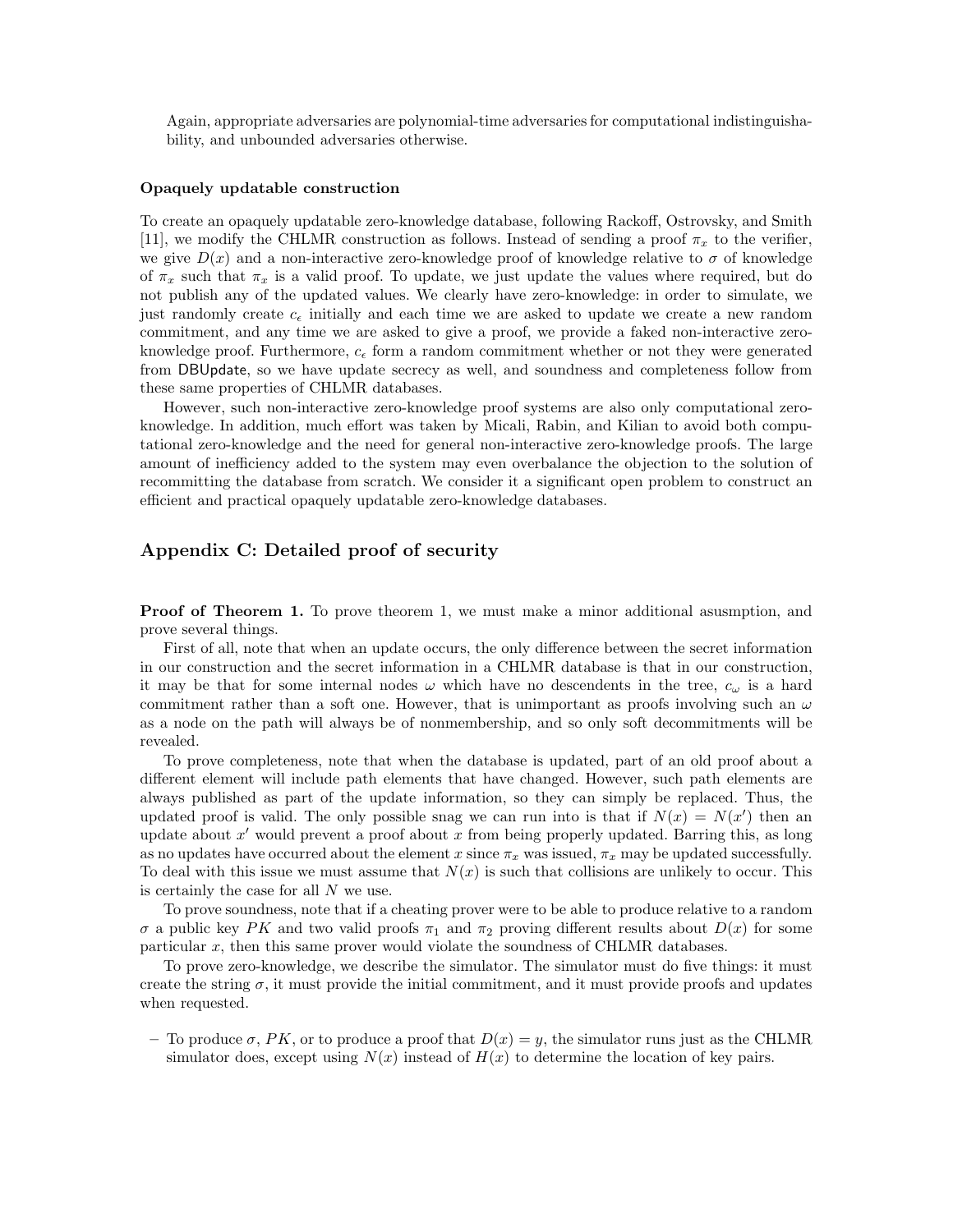Again, appropriate adversaries are polynomial-time adversaries for computational indistinguishability, and unbounded adversaries otherwise.

#### **Opaquely updatable construction**

To create an opaquely updatable zero-knowledge database, following Rackoff, Ostrovsky, and Smith [11], we modify the CHLMR construction as follows. Instead of sending a proof  $\pi_x$  to the verifier, we give  $D(x)$  and a non-interactive zero-knowledge proof of knowledge relative to  $\sigma$  of knowledge of  $\pi_x$  such that  $\pi_x$  is a valid proof. To update, we just update the values where required, but do not publish any of the updated values. We clearly have zero-knowledge: in order to simulate, we just randomly create  $c_{\epsilon}$  initially and each time we are asked to update we create a new random commitment, and any time we are asked to give a proof, we provide a faked non-interactive zeroknowledge proof. Furthermore,  $c_{\epsilon}$  form a random commitment whether or not they were generated from DBUpdate, so we have update secrecy as well, and soundness and completeness follow from these same properties of CHLMR databases.

However, such non-interactive zero-knowledge proof systems are also only computational zeroknowledge. In addition, much effort was taken by Micali, Rabin, and Kilian to avoid both computational zero-knowledge and the need for general non-interactive zero-knowledge proofs. The large amount of inefficiency added to the system may even overbalance the objection to the solution of recommitting the database from scratch. We consider it a significant open problem to construct an efficient and practical opaquely updatable zero-knowledge databases.

## **Appendix C: Detailed proof of security**

**Proof of Theorem 1.** To prove theorem 1, we must make a minor additional asusmption, and prove several things.

First of all, note that when an update occurs, the only difference between the secret information in our construction and the secret information in a CHLMR database is that in our construction, it may be that for some internal nodes  $\omega$  which have no descendents in the tree,  $c_{\omega}$  is a hard commitment rather than a soft one. However, that is unimportant as proofs involving such an  $\omega$ as a node on the path will always be of nonmembership, and so only soft decommitments will be revealed.

To prove completeness, note that when the database is updated, part of an old proof about a different element will include path elements that have changed. However, such path elements are always published as part of the update information, so they can simply be replaced. Thus, the updated proof is valid. The only possible snag we can run into is that if  $N(x) = N(x')$  then an update about  $x'$  would prevent a proof about  $x$  from being properly updated. Barring this, as long as no updates have occurred about the element x since  $\pi_x$  was issued,  $\pi_x$  may be updated successfully. To deal with this issue we must assume that  $N(x)$  is such that collisions are unlikely to occur. This is certainly the case for all N we use.

To prove soundness, note that if a cheating prover were to be able to produce relative to a random  $\sigma$  a public key PK and two valid proofs  $\pi_1$  and  $\pi_2$  proving different results about  $D(x)$  for some particular x, then this same prover would violate the soundness of CHLMR databases.

To prove zero-knowledge, we describe the simulator. The simulator must do five things: it must create the string  $\sigma$ , it must provide the initial commitment, and it must provide proofs and updates when requested.

 $-$  To produce  $\sigma$ , PK, or to produce a proof that  $D(x) = y$ , the simulator runs just as the CHLMR simulator does, except using  $N(x)$  instead of  $H(x)$  to determine the location of key pairs.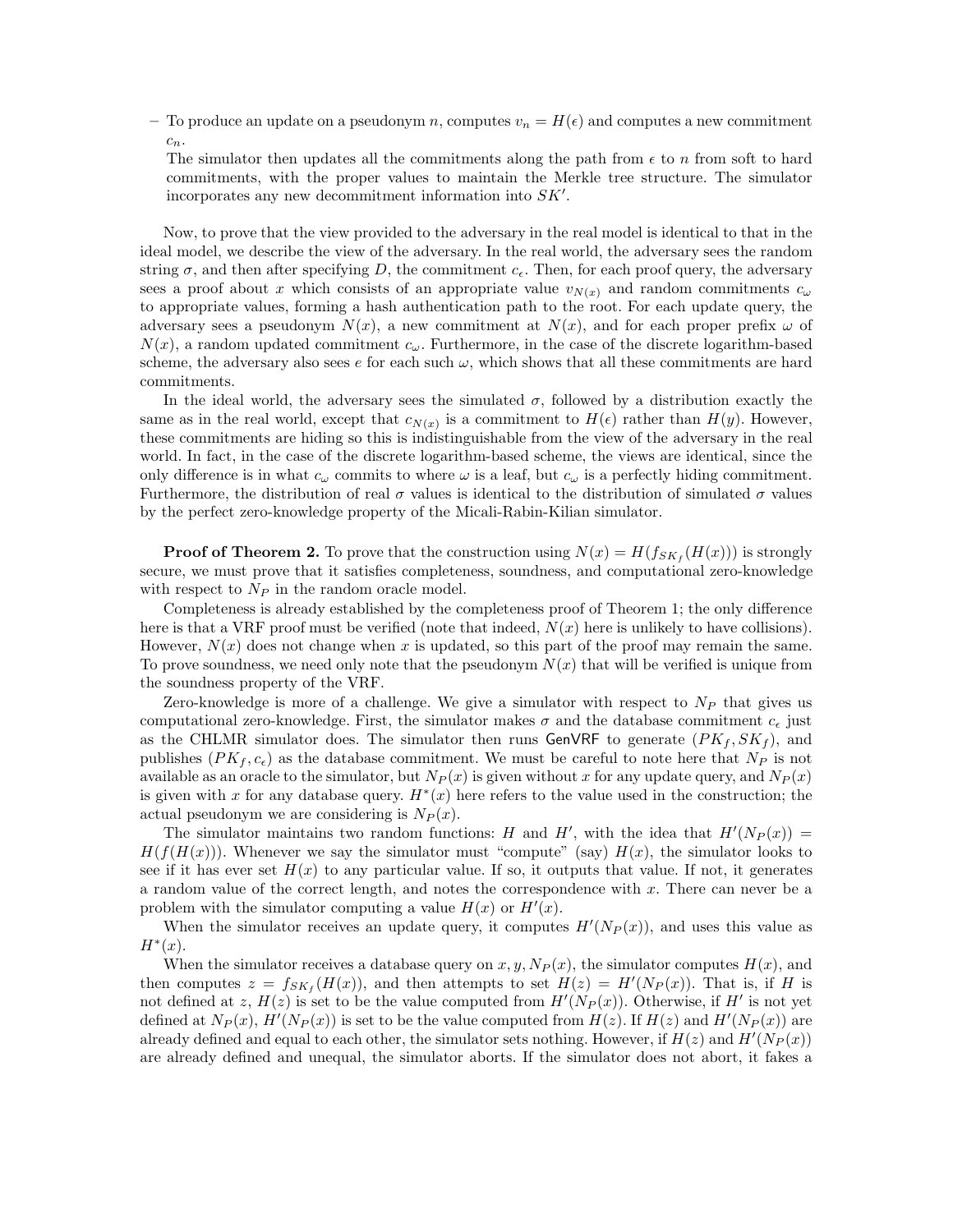– To produce an update on a pseudonym n, computes  $v_n = H(\epsilon)$  and computes a new commitment  $c_n$ .

The simulator then updates all the commitments along the path from  $\epsilon$  to n from soft to hard commitments, with the proper values to maintain the Merkle tree structure. The simulator incorporates any new decommitment information into SK .

Now, to prove that the view provided to the adversary in the real model is identical to that in the ideal model, we describe the view of the adversary. In the real world, the adversary sees the random string  $\sigma$ , and then after specifying D, the commitment  $c_{\epsilon}$ . Then, for each proof query, the adversary sees a proof about x which consists of an appropriate value  $v_{N(x)}$  and random commitments  $c_{\omega}$ to appropriate values, forming a hash authentication path to the root. For each update query, the adversary sees a pseudonym  $N(x)$ , a new commitment at  $N(x)$ , and for each proper prefix  $\omega$  of  $N(x)$ , a random updated commitment  $c_{\omega}$ . Furthermore, in the case of the discrete logarithm-based scheme, the adversary also sees  $e$  for each such  $\omega$ , which shows that all these commitments are hard commitments.

In the ideal world, the adversary sees the simulated  $\sigma$ , followed by a distribution exactly the same as in the real world, except that  $c_{N(x)}$  is a commitment to  $H(\epsilon)$  rather than  $H(y)$ . However, these commitments are hiding so this is indistinguishable from the view of the adversary in the real world. In fact, in the case of the discrete logarithm-based scheme, the views are identical, since the only difference is in what  $c_{\omega}$  commits to where  $\omega$  is a leaf, but  $c_{\omega}$  is a perfectly hiding commitment. Furthermore, the distribution of real  $\sigma$  values is identical to the distribution of simulated  $\sigma$  values by the perfect zero-knowledge property of the Micali-Rabin-Kilian simulator.

**Proof of Theorem 2.** To prove that the construction using  $N(x) = H(f_{SK_f}(H(x)))$  is strongly secure, we must prove that it satisfies completeness, soundness, and computational zero-knowledge with respect to  $N_P$  in the random oracle model.

Completeness is already established by the completeness proof of Theorem 1; the only difference here is that a VRF proof must be verified (note that indeed,  $N(x)$  here is unlikely to have collisions). However,  $N(x)$  does not change when x is updated, so this part of the proof may remain the same. To prove soundness, we need only note that the pseudonym  $N(x)$  that will be verified is unique from the soundness property of the VRF.

Zero-knowledge is more of a challenge. We give a simulator with respect to  $N_P$  that gives us computational zero-knowledge. First, the simulator makes  $\sigma$  and the database commitment  $c_{\epsilon}$  just as the CHLMR simulator does. The simulator then runs GenVRF to generate  $(PK_f, SK_f)$ , and publishes  $(PK_f, c_{\epsilon})$  as the database commitment. We must be careful to note here that  $N_P$  is not available as an oracle to the simulator, but  $N_P(x)$  is given without x for any update query, and  $N_P(x)$ is given with x for any database query.  $H^*(x)$  here refers to the value used in the construction; the actual pseudonym we are considering is  $N_P(x)$ .

The simulator maintains two random functions: H and H', with the idea that  $H'(N_P(x)) =$  $H(f(H(x)))$ . Whenever we say the simulator must "compute" (say)  $H(x)$ , the simulator looks to see if it has ever set  $H(x)$  to any particular value. If so, it outputs that value. If not, it generates a random value of the correct length, and notes the correspondence with x. There can never be a problem with the simulator computing a value  $H(x)$  or  $H'(x)$ .

When the simulator receives an update query, it computes  $H'(N_P(x))$ , and uses this value as  $H^*(x)$ .

When the simulator receives a database query on  $x, y, N_P(x)$ , the simulator computes  $H(x)$ , and then computes  $z = f_{SK_f}(H(x))$ , and then attempts to set  $H(z) = H'(N_P(x))$ . That is, if H is not defined at z,  $H(z)$  is set to be the value computed from  $H'(N_P(x))$ . Otherwise, if H' is not yet defined at  $N_P(x)$ ,  $H'(N_P(x))$  is set to be the value computed from  $H(z)$ . If  $H(z)$  and  $H'(N_P(x))$  are already defined and equal to each other, the simulator sets nothing. However, if  $H(z)$  and  $H'(N_P(x))$ are already defined and unequal, the simulator aborts. If the simulator does not abort, it fakes a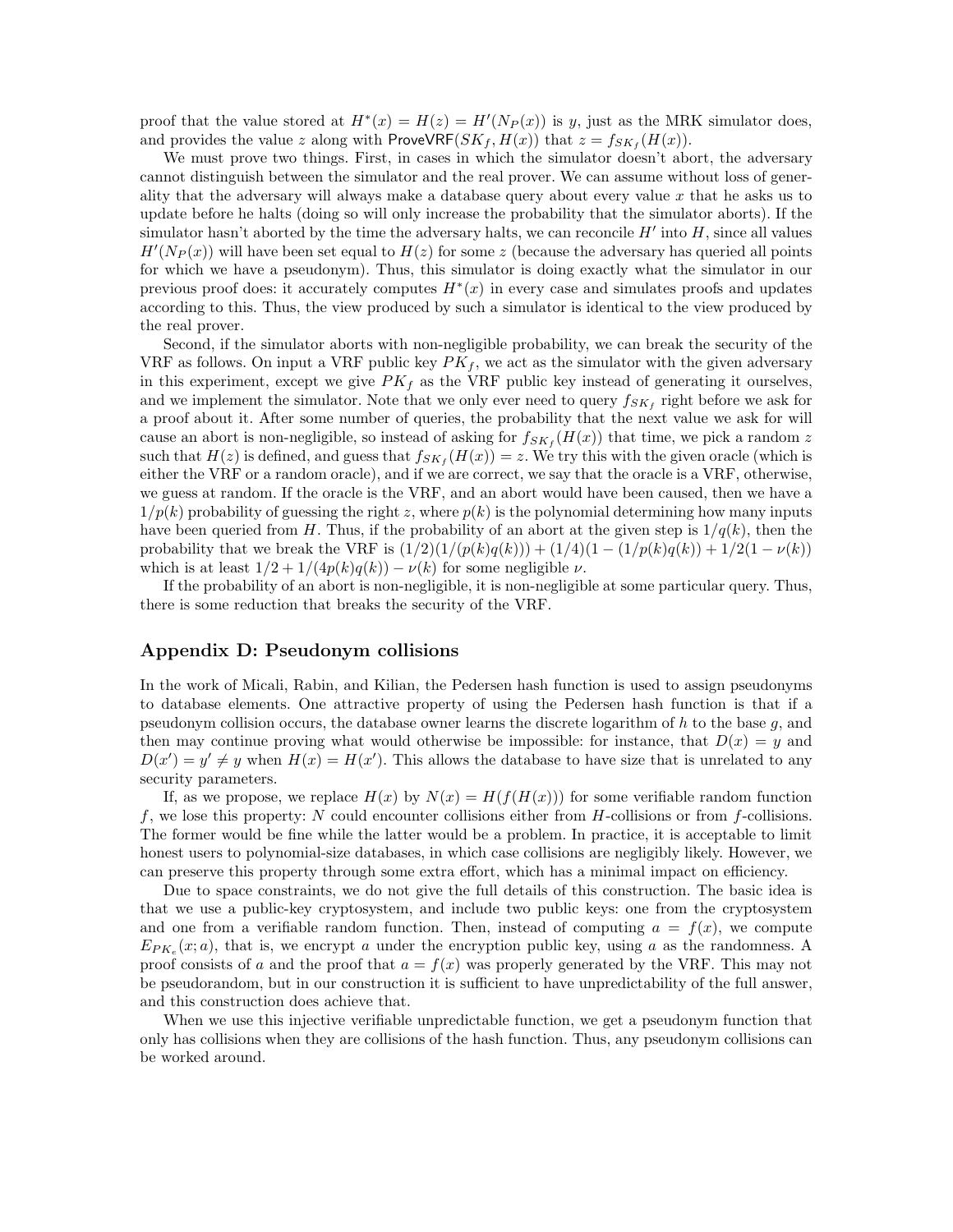proof that the value stored at  $H^*(x) = H(z) = H'(N_P(x))$  is y, just as the MRK simulator does, and provides the value z along with  $ProveVRF(SK_f, H(x))$  that  $z = f_{SK_f}(H(x))$ .

We must prove two things. First, in cases in which the simulator doesn't abort, the adversary cannot distinguish between the simulator and the real prover. We can assume without loss of generality that the adversary will always make a database query about every value  $x$  that he asks us to update before he halts (doing so will only increase the probability that the simulator aborts). If the simulator hasn't aborted by the time the adversary halts, we can reconcile  $H'$  into  $H$ , since all values  $H'(N_P(x))$  will have been set equal to  $H(z)$  for some z (because the adversary has queried all points for which we have a pseudonym). Thus, this simulator is doing exactly what the simulator in our previous proof does: it accurately computes  $H^*(x)$  in every case and simulates proofs and updates according to this. Thus, the view produced by such a simulator is identical to the view produced by the real prover.

Second, if the simulator aborts with non-negligible probability, we can break the security of the VRF as follows. On input a VRF public key  $PK<sub>f</sub>$ , we act as the simulator with the given adversary in this experiment, except we give  $PK<sub>f</sub>$  as the VRF public key instead of generating it ourselves, and we implement the simulator. Note that we only ever need to query  $f_{SK_f}$  right before we ask for a proof about it. After some number of queries, the probability that the next value we ask for will cause an abort is non-negligible, so instead of asking for  $f_{SK}$  ( $H(x)$ ) that time, we pick a random z such that  $H(z)$  is defined, and guess that  $f_{SK<sub>f</sub>}(H(x)) = z$ . We try this with the given oracle (which is either the VRF or a random oracle), and if we are correct, we say that the oracle is a VRF, otherwise, we guess at random. If the oracle is the VRF, and an abort would have been caused, then we have a  $1/p(k)$  probability of guessing the right z, where  $p(k)$  is the polynomial determining how many inputs have been queried from H. Thus, if the probability of an abort at the given step is  $1/q(k)$ , then the probability that we break the VRF is  $(1/2)(1/(p(k)q(k)))+(1/4)(1-(1/p(k)q(k))+1/2(1-\nu(k))$ which is at least  $1/2+1/(4p(k)q(k)) - \nu(k)$  for some negligible  $\nu$ .

If the probability of an abort is non-negligible, it is non-negligible at some particular query. Thus, there is some reduction that breaks the security of the VRF.

## **Appendix D: Pseudonym collisions**

In the work of Micali, Rabin, and Kilian, the Pedersen hash function is used to assign pseudonyms to database elements. One attractive property of using the Pedersen hash function is that if a pseudonym collision occurs, the database owner learns the discrete logarithm of  $h$  to the base  $q$ , and then may continue proving what would otherwise be impossible: for instance, that  $D(x) = y$  and  $D(x') = y' \neq y$  when  $H(x) = H(x')$ . This allows the database to have size that is unrelated to any security parameters.

If, as we propose, we replace  $H(x)$  by  $N(x) = H(f(H(x)))$  for some verifiable random function f, we lose this property: N could encounter collisions either from H-collisions or from  $f$ -collisions. The former would be fine while the latter would be a problem. In practice, it is acceptable to limit honest users to polynomial-size databases, in which case collisions are negligibly likely. However, we can preserve this property through some extra effort, which has a minimal impact on efficiency.

Due to space constraints, we do not give the full details of this construction. The basic idea is that we use a public-key cryptosystem, and include two public keys: one from the cryptosystem and one from a verifiable random function. Then, instead of computing  $a = f(x)$ , we compute  $E_{PK_e}(x; a)$ , that is, we encrypt a under the encryption public key, using a as the randomness. A proof consists of a and the proof that  $a = f(x)$  was properly generated by the VRF. This may not be pseudorandom, but in our construction it is sufficient to have unpredictability of the full answer, and this construction does achieve that.

When we use this injective verifiable unpredictable function, we get a pseudonym function that only has collisions when they are collisions of the hash function. Thus, any pseudonym collisions can be worked around.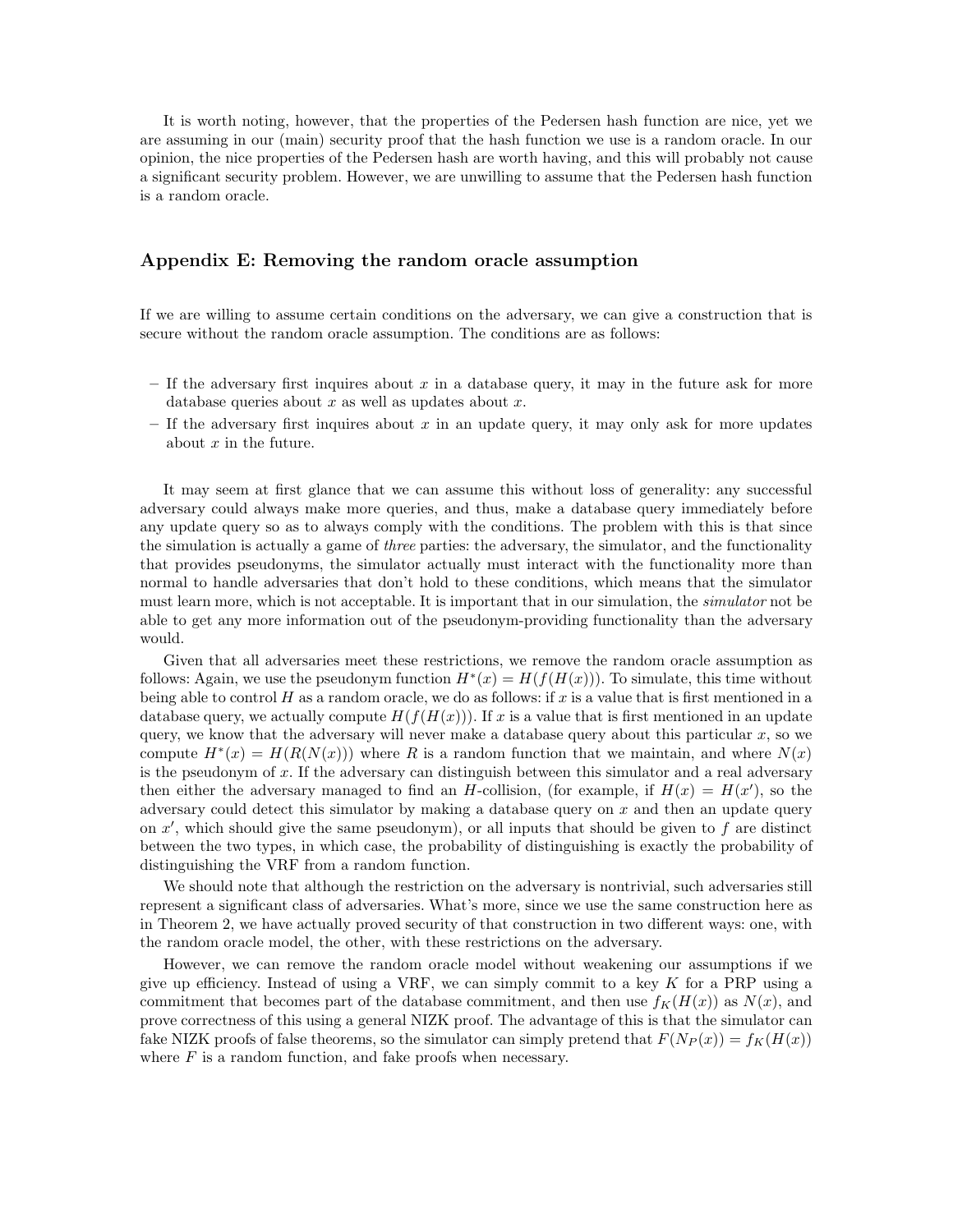It is worth noting, however, that the properties of the Pedersen hash function are nice, yet we are assuming in our (main) security proof that the hash function we use is a random oracle. In our opinion, the nice properties of the Pedersen hash are worth having, and this will probably not cause a significant security problem. However, we are unwilling to assume that the Pedersen hash function is a random oracle.

## **Appendix E: Removing the random oracle assumption**

If we are willing to assume certain conditions on the adversary, we can give a construction that is secure without the random oracle assumption. The conditions are as follows:

- $-$  If the adversary first inquires about x in a database query, it may in the future ask for more database queries about  $x$  as well as updates about  $x$ .
- **–** If the adversary first inquires about x in an update query, it may only ask for more updates about  $x$  in the future.

It may seem at first glance that we can assume this without loss of generality: any successful adversary could always make more queries, and thus, make a database query immediately before any update query so as to always comply with the conditions. The problem with this is that since the simulation is actually a game of *three* parties: the adversary, the simulator, and the functionality that provides pseudonyms, the simulator actually must interact with the functionality more than normal to handle adversaries that don't hold to these conditions, which means that the simulator must learn more, which is not acceptable. It is important that in our simulation, the *simulator* not be able to get any more information out of the pseudonym-providing functionality than the adversary would.

Given that all adversaries meet these restrictions, we remove the random oracle assumption as follows: Again, we use the pseudonym function  $H^*(x) = H(f(H(x)))$ . To simulate, this time without being able to control H as a random oracle, we do as follows: if x is a value that is first mentioned in a database query, we actually compute  $H(f(H(x)))$ . If x is a value that is first mentioned in an update query, we know that the adversary will never make a database query about this particular  $x$ , so we compute  $H^*(x) = H(R(N(x)))$  where R is a random function that we maintain, and where  $N(x)$ is the pseudonym of  $x$ . If the adversary can distinguish between this simulator and a real adversary then either the adversary managed to find an H-collision, (for example, if  $H(x) = H(x')$ , so the adversary could detect this simulator by making a database query on  $x$  and then an update query on  $x'$ , which should give the same pseudonym), or all inputs that should be given to f are distinct between the two types, in which case, the probability of distinguishing is exactly the probability of distinguishing the VRF from a random function.

We should note that although the restriction on the adversary is nontrivial, such adversaries still represent a significant class of adversaries. What's more, since we use the same construction here as in Theorem 2, we have actually proved security of that construction in two different ways: one, with the random oracle model, the other, with these restrictions on the adversary.

However, we can remove the random oracle model without weakening our assumptions if we give up efficiency. Instead of using a VRF, we can simply commit to a key  $K$  for a PRP using a commitment that becomes part of the database commitment, and then use  $f_K(H(x))$  as  $N(x)$ , and prove correctness of this using a general NIZK proof. The advantage of this is that the simulator can fake NIZK proofs of false theorems, so the simulator can simply pretend that  $F(N_P(x)) = f_K(H(x))$ where  $F$  is a random function, and fake proofs when necessary.